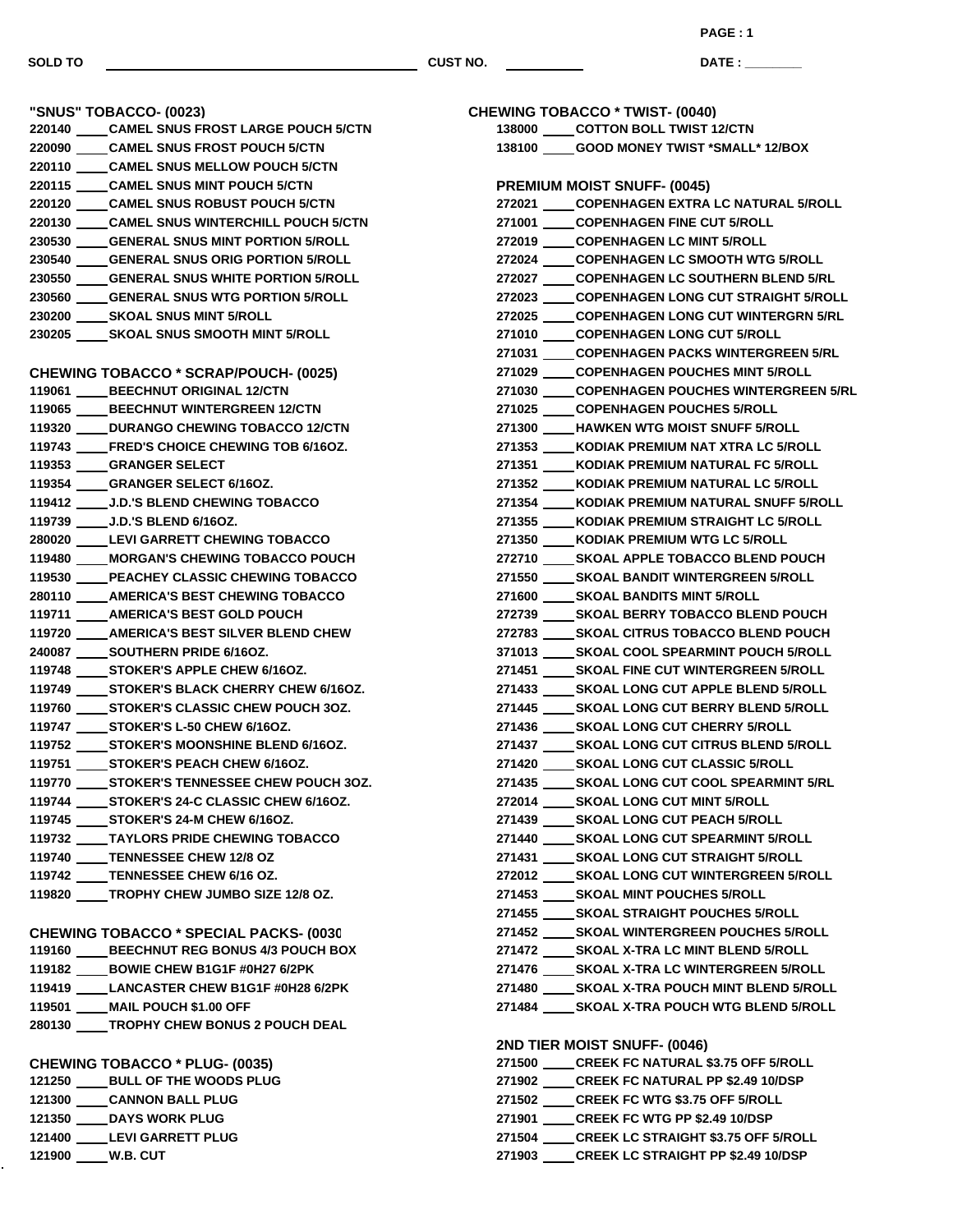**DATE : \_\_\_\_\_\_\_\_\_\_\_\_\_\_\_**

| "SNUS" TOBACCO- (0023)                           |
|--------------------------------------------------|
| 220140 _____ CAMEL SNUS FROST LARGE POUCH 5/CTN  |
| 220090 ____CAMEL SNUS FROST POUCH 5/CTN          |
| 220110 _____ CAMEL SNUS MELLOW POUCH 5/CTN       |
| 220115 _____ CAMEL SNUS MINT POUCH 5/CTN         |
| 220120 _____ CAMEL SNUS ROBUST POUCH 5/CTN       |
| 220130 _____ CAMEL SNUS WINTERCHILL POUCH 5/CTN  |
| 230530 _____ GENERAL SNUS MINT PORTION 5/ROLL    |
| 230540 ____ GENERAL SNUS ORIG PORTION 5/ROLL     |
| 230550 _____ GENERAL SNUS WHITE PORTION 5/ROLL   |
| 230560 ____GENERAL SNUS WTG PORTION 5/ROLL       |
| 230200 _____ SKOAL SNUS MINT 5/ROLL              |
| 230205 _____ SKOAL SNUS SMOOTH MINT 5/ROLL       |
|                                                  |
| <b>CHEWING TOBACCO * SCRAP/POUCH- (0025)</b>     |
| 119061 _____ BEECHNUT ORIGINAL 12/CTN            |
| 119065 _____ BEECHNUT WINTERGREEN 12/CTN         |
| 119320 ____ DURANGO CHEWING TOBACCO 12/CTN       |
| 119743 _____ FRED'S CHOICE CHEWING TOB 6/16OZ.   |
| 119353 ____GRANGER SELECT                        |
| 119354 ____GRANGER SELECT 6/16OZ.                |
| 119412 ____ J.D.'S BLEND CHEWING TOBACCO         |
| 119739 _____ J.D.'S BLEND 6/16OZ.                |
| 280020 ____ LEVI GARRETT CHEWING TOBACCO         |
| 119480 ____ MORGAN'S CHEWING TOBACCO POUCH       |
| 119530 _____ PEACHEY CLASSIC CHEWING TOBACCO     |
| 280110 ____ AMERICA'S BEST CHEWING TOBACCO       |
| 119711 _____ AMERICA'S BEST GOLD POUCH           |
| 119720 _____ AMERICA'S BEST SILVER BLEND CHEW    |
| 240087 _____ SOUTHERN PRIDE 6/16OZ.              |
| 119748 _____ STOKER'S APPLE CHEW 6/16OZ.         |
| 119749 _____ STOKER'S BLACK CHERRY CHEW 6/16OZ.  |
| 119760 _____ STOKER'S CLASSIC CHEW POUCH 3OZ.    |
| 119747 ______ STOKER'S L-50 CHEW 6/16OZ.         |
| 119752 _____ STOKER'S MOONSHINE BLEND 6/16OZ.    |
| 119751 _____ STOKER'S PEACH CHEW 6/16OZ.         |
| 119770 _____ STOKER'S TENNESSEE CHEW POUCH 3OZ.  |
| 119744 ______ STOKER'S 24-C CLASSIC CHEW 6/16OZ. |
| 119745 _____ STOKER'S 24-M CHEW 6/16OZ.          |
| 119732 _____ TAYLORS PRIDE CHEWING TOBACCO       |
| 119740 ____TENNESSEE CHEW 12/8 OZ                |
| 119742 ____TENNESSEE CHEW 6/16 OZ.               |
| 119820 _____ TROPHY CHEW JUMBO SIZE 12/8 OZ.     |
|                                                  |
| <b>CHEWING TOBACCO * SPECIAL PACKS- (0030)</b>   |
| 119160 ____ BEECHNUT REG BONUS 4/3 POUCH BOX     |
| 119182 _____ BOWIE CHEW B1G1F #0H27 6/2PK        |
| 119419 _____ LANCASTER CHEW B1G1F #0H28 6/2PK    |
| 119501 ____ MAIL POUCH \$1.00 OFF                |
| 280130 _____ TROPHY CHEW BONUS 2 POUCH DEAL      |
|                                                  |
| <b>CHEWING TOBACCO * PLUG- (0035)</b>            |
| 121250 _____ BULL OF THE WOODS PLUG              |
| 121300 _____ CANNON BALL PLUG                    |

 **DAYS WORK PLUG LEVI GARRETT PLUG**

**W.B. CUT**

| <b>CHEWING TOBACCO * TWIST- (0040)</b>           |
|--------------------------------------------------|
| 138000 _____ COTTON BOLL TWIST 12/CTN            |
| 138100 _____ GOOD MONEY TWIST *SMALL* 12/BOX     |
|                                                  |
| <b>PREMIUM MOIST SNUFF- (0045)</b>               |
| 272021 _____ COPENHAGEN EXTRA LC NATURAL 5/ROLL  |
| 271001 _____ COPENHAGEN FINE CUT 5/ROLL          |
| 272019 _____ COPENHAGEN LC MINT 5/ROLL           |
| 272024 _____ COPENHAGEN LC SMOOTH WTG 5/ROLL     |
| 272027 _____ COPENHAGEN LC SOUTHERN BLEND 5/RL   |
| 272023 _____ COPENHAGEN LONG CUT STRAIGHT 5/ROLL |
| 272025 _____ COPENHAGEN LONG CUT WINTERGRN 5/RL  |
| 271010 _____ COPENHAGEN LONG CUT 5/ROLL          |
| 271031 _____ COPENHAGEN PACKS WINTERGREEN 5/RL   |
| 271029 _____ COPENHAGEN POUCHES MINT 5/ROLL      |
| 271030 ____ COPENHAGEN POUCHES WINTERGREEN 5/RL  |
| 271025 _____ COPENHAGEN POUCHES 5/ROLL           |
| 271300 _____ HAWKEN WTG MOIST SNUFF 5/ROLL       |
| 271353 ____ KODIAK PREMIUM NAT XTRA LC 5/ROLL    |
| 271351 ____ KODIAK PREMIUM NATURAL FC 5/ROLL     |
| 271352 ____ KODIAK PREMIUM NATURAL LC 5/ROLL     |
| 271354 ____ KODIAK PREMIUM NATURAL SNUFF 5/ROLL  |
| 271355 ____ KODIAK PREMIUM STRAIGHT LC 5/ROLL    |
| 271350 ____ KODIAK PREMIUM WTG LC 5/ROLL         |
| 272710 _____ SKOAL APPLE TOBACCO BLEND POUCH     |
| 271550 _____ SKOAL BANDIT WINTERGREEN 5/ROLL     |
| 271600 _____ SKOAL BANDITS MINT 5/ROLL           |
| 272739 _____ SKOAL BERRY TOBACCO BLEND POUCH     |
| 272783 _____ SKOAL CITRUS TOBACCO BLEND POUCH    |
| 371013 _____ SKOAL COOL SPEARMINT POUCH 5/ROLL   |
| 271451 _____ SKOAL FINE CUT WINTERGREEN 5/ROLL   |
| 271433 _____ SKOAL LONG CUT APPLE BLEND 5/ROLL   |
| 271445 _____ SKOAL LONG CUT BERRY BLEND 5/ROLL   |
| 271436 _____ SKOAL LONG CUT CHERRY 5/ROLL        |
| 271437 _____ SKOAL LONG CUT CITRUS BLEND 5/ROLL  |
| 271420 _____ SKOAL LONG CUT CLASSIC 5/ROLL       |
| 271435 _____ SKOAL LONG CUT COOL SPEARMINT 5/RL  |
| 272014 _____ SKOAL LONG CUT MINT 5/ROLL          |
| 271439 _____ SKOAL LONG CUT PEACH 5/ROLL         |
| 271440 _____ SKOAL LONG CUT SPEARMINT 5/ROLL     |
| 271431 _____ SKOAL LONG CUT STRAIGHT 5/ROLL      |
| 272012 _____ SKOAL LONG CUT WINTERGREEN 5/ROLL   |
| 271453 _____ SKOAL MINT POUCHES 5/ROLL           |
| 271455 _____ SKOAL STRAIGHT POUCHES 5/ROLL       |
| 271452 _____ SKOAL WINTERGREEN POUCHES 5/ROLL    |
| 271472 _____ SKOAL X-TRA LC MINT BLEND 5/ROLL    |
| 271476 _____ SKOAL X-TRA LC WINTERGREEN 5/ROLL   |
| 271480 _____ SKOAL X-TRA POUCH MINT BLEND 5/ROLL |
| 271484 _____ SKOAL X-TRA POUCH WTG BLEND 5/ROLL  |
|                                                  |
|                                                  |

## **2ND TIER MOIST SNUFF- (0046)**

| 271500 | <b>CREEK FC NATURAL \$3.75 OFF 5/ROLL</b>  |
|--------|--------------------------------------------|
| 271902 | <b>CREEK FC NATURAL PP \$2.49 10/DSP</b>   |
| 271502 | <b>CREEK FC WTG \$3.75 OFF 5/ROLL</b>      |
| 271901 | CREEK FC WTG PP \$2.49 10/DSP              |
| 271504 | <b>CREEK LC STRAIGHT \$3.75 OFF 5/ROLL</b> |
| 271903 | <b>CREEK LC STRAIGHT PP \$2.49 10/DSP</b>  |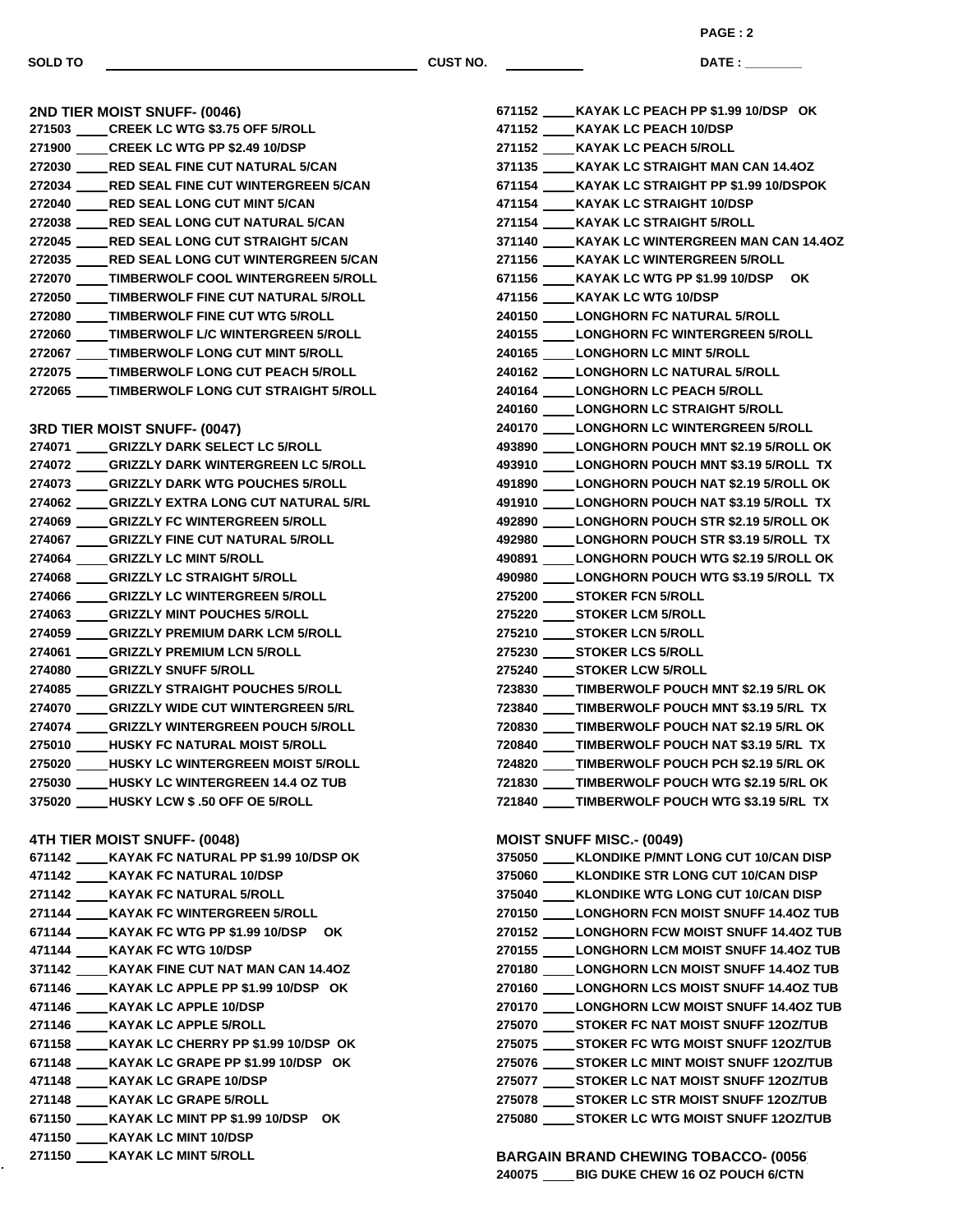**DATE : \_\_\_\_\_\_\_\_\_\_\_\_\_\_\_**

| 2ND TIER MOIST SNUFF- (0046)                                                                |
|---------------------------------------------------------------------------------------------|
| 271503 _____ CREEK LC WTG \$3.75 OFF 5/ROLL                                                 |
| 271900 _____ CREEK LC WTG PP \$2.49 10/DSP                                                  |
| 272030 ____RED SEAL FINE CUT NATURAL 5/CAN                                                  |
| 272034 ____RED SEAL FINE CUT WINTERGREEN 5/CAN                                              |
| 272040 ____RED SEAL LONG CUT MINT 5/CAN                                                     |
| 272038 ____RED SEAL LONG CUT NATURAL 5/CAN                                                  |
| 272045 ____RED SEAL LONG CUT STRAIGHT 5/CAN                                                 |
| 272035 ____RED SEAL LONG CUT WINTERGREEN 5/CAN                                              |
| 272070 ____TIMBERWOLF COOL WINTERGREEN 5/ROLL                                               |
| 272050 ____TIMBERWOLF FINE CUT NATURAL 5/ROLL                                               |
| 272080 ____TIMBERWOLF FINE CUT WTG 5/ROLL                                                   |
| 272060 ____TIMBERWOLF L/C WINTERGREEN 5/ROLL                                                |
| 272067 _____TIMBERWOLF LONG CUT MINT 5/ROLL<br>272075 _____TIMBERWOLF LONG CUT PEACH 5/ROLL |
|                                                                                             |
| 272065 _____ TIMBERWOLF LONG CUT STRAIGHT 5/ROLL                                            |
|                                                                                             |
| <b>3RD TIER MOIST SNUFF- (0047)</b>                                                         |
| 274071 _____ GRIZZLY DARK SELECT LC 5/ROLL                                                  |
| 274072 ____GRIZZLY DARK WINTERGREEN LC 5/ROLL                                               |
| 274073 ____GRIZZLY DARK WTG POUCHES 5/ROLL                                                  |
| 274062 ____GRIZZLY EXTRA LONG CUT NATURAL 5/RL                                              |
| 274069 ____GRIZZLY FC WINTERGREEN 5/ROLL                                                    |
| 274067 _____ GRIZZLY FINE CUT NATURAL 5/ROLL                                                |
| 274064 ____GRIZZLY LC MINT 5/ROLL                                                           |
| 274068 ____GRIZZLY LC STRAIGHT 5/ROLL                                                       |
| 274066 ____GRIZZLY LC WINTERGREEN 5/ROLL                                                    |
| 274063 ____GRIZZLY MINT POUCHES 5/ROLL                                                      |
| 274059 ____ GRIZZLY PREMIUM DARK LCM 5/ROLL                                                 |
| 274061 ____GRIZZLY PREMIUM LCN 5/ROLL                                                       |
| 274080 ____GRIZZLY SNUFF 5/ROLL                                                             |
| 274085 ____ GRIZZLY STRAIGHT POUCHES 5/ROLL                                                 |
| 274070 ____GRIZZLY WIDE CUT WINTERGREEN 5/RL                                                |
| 274074 ____GRIZZLY WINTERGREEN POUCH 5/ROLL                                                 |
| 275010 ____HUSKY FC NATURAL MOIST 5/ROLL                                                    |
| 275020 ____ HUSKY LC WINTERGREEN MOIST 5/ROLL                                               |
| 275030 ____HUSKY LC WINTERGREEN 14.4 OZ TUB                                                 |
| 375020 HUSKY LCW \$.50 OFF OE 5/ROLL                                                        |
|                                                                                             |
| 4TH TIER MOIST SNUFF- (0048)                                                                |
| 671142 ____ KAYAK FC NATURAL PP \$1.99 10/DSP OK                                            |
| 471142 ____ KAYAK FC NATURAL 10/DSP                                                         |
| 271142 ____ KAYAK FC NATURAL 5/ROLL                                                         |
| 271144 ____ KAYAK FC WINTERGREEN 5/ROLL                                                     |
| 671144 ____ KAYAK FC WTG PP \$1.99 10/DSP OK                                                |
| 471144 ____ KAYAK FC WTG 10/DSP                                                             |
| 371142 ____ KAYAK FINE CUT NAT MAN CAN 14.40Z                                               |
| 671146 ____ KAYAK LC APPLE PP \$1.99 10/DSP OK                                              |
| 471146 ____ KAYAK LC APPLE 10/DSP                                                           |
| 271146 _____ KAYAK LC APPLE 5/ROLL                                                          |
| 671158 ____ KAYAK LC CHERRY PP \$1.99 10/DSP OK                                             |
| 671148 ____ KAYAK LC GRAPE PP \$1.99 10/DSP OK                                              |
| 471148 ____ KAYAK LC GRAPE 10/DSP                                                           |
| 271148 ____ KAYAK LC GRAPE 5/ROLL                                                           |
| 671150 ____ KAYAK LC MINT PP \$1.99 10/DSP OK                                               |
| 471150 ____ KAYAK LC MINT 10/DSP                                                            |

**KAYAK LC MINT 5/ROLL**

 **KAYAK LC PEACH PP \$1.99 10/DSP OK KAYAK LC PEACH 10/DSP KAYAK LC PEACH 5/ROLL KAYAK LC STRAIGHT MAN CAN 14.4OZ KAYAK LC STRAIGHT PP \$1.99 10/DSPOK KAYAK LC STRAIGHT 10/DSP KAYAK LC STRAIGHT 5/ROLL KAYAK LC WINTERGREEN MAN CAN 14.4OZ KAYAK LC WINTERGREEN 5/ROLL KAYAK LC WTG PP \$1.99 10/DSP OK KAYAK LC WTG 10/DSP LONGHORN FC NATURAL 5/ROLL LONGHORN FC WINTERGREEN 5/ROLL LONGHORN LC MINT 5/ROLL LONGHORN LC NATURAL 5/ROLL LONGHORN LC PEACH 5/ROLL LONGHORN LC STRAIGHT 5/ROLL LONGHORN LC WINTERGREEN 5/ROLL LONGHORN POUCH MNT \$2.19 5/ROLL OK LONGHORN POUCH MNT \$3.19 5/ROLL TX LONGHORN POUCH NAT \$2.19 5/ROLL OK LONGHORN POUCH NAT \$3.19 5/ROLL TX LONGHORN POUCH STR \$2.19 5/ROLL OK LONGHORN POUCH STR \$3.19 5/ROLL TX LONGHORN POUCH WTG \$2.19 5/ROLL OK LONGHORN POUCH WTG \$3.19 5/ROLL TX STOKER FCN 5/ROLL STOKER LCM 5/ROLL STOKER LCN 5/ROLL STOKER LCS 5/ROLL STOKER LCW 5/ROLL TIMBERWOLF POUCH MNT \$2.19 5/RL OK TIMBERWOLF POUCH MNT \$3.19 5/RL TX TIMBERWOLF POUCH NAT \$2.19 5/RL OK TIMBERWOLF POUCH NAT \$3.19 5/RL TX TIMBERWOLF POUCH PCH \$2.19 5/RL OK TIMBERWOLF POUCH WTG \$2.19 5/RL OK TIMBERWOLF POUCH WTG \$3.19 5/RL TX MOIST SNUFF MISC.- (0049) KLONDIKE P/MNT LONG CUT 10/CAN DISP**

**BARGAIN BRAND CHEWING TOBACCO- (0056) BIG DUKE CHEW 16 OZ POUCH 6/CTN**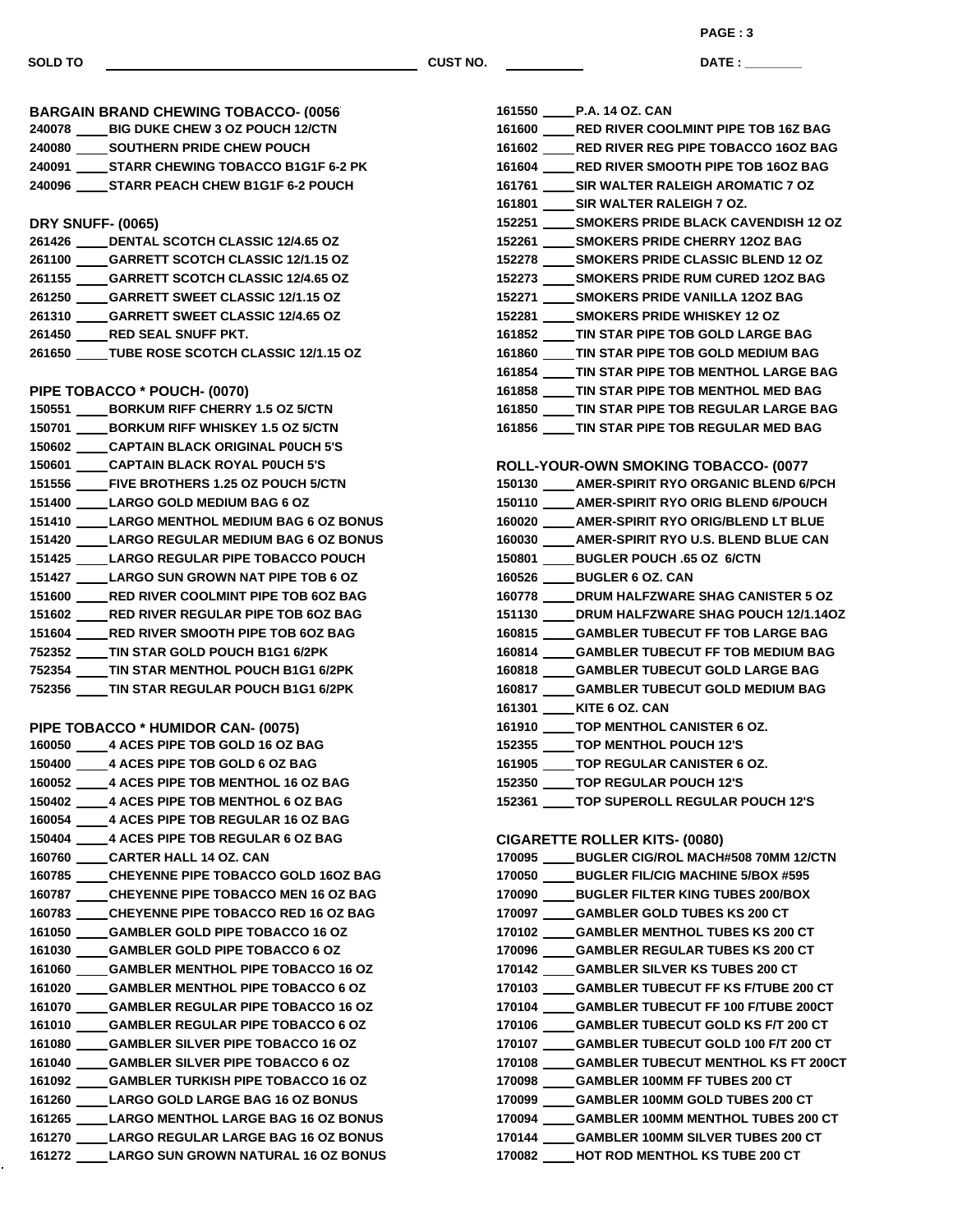÷,

**SOLD TO CUST NO.**

**PAGE : 3**

**DATE : \_\_\_\_\_\_\_\_\_\_\_\_\_\_\_**

| <b>BARGAIN BRAND CHEWING TOBACCO- (0056)</b> |                                                  |  |
|----------------------------------------------|--------------------------------------------------|--|
|                                              | 240078 ____ BIG DUKE CHEW 3 OZ POUCH 12/CTN      |  |
|                                              | 240080 _____ SOUTHERN PRIDE CHEW POUCH           |  |
|                                              | 240091 _____ STARR CHEWING TOBACCO B1G1F 6-2 PK  |  |
|                                              | 240096 _____ STARR PEACH CHEW B1G1F 6-2 POUCH    |  |
| <b>DRY SNUFF- (0065)</b>                     |                                                  |  |
|                                              | 261426 _____ DENTAL SCOTCH CLASSIC 12/4.65 OZ    |  |
|                                              | 261100 ____ GARRETT SCOTCH CLASSIC 12/1.15 OZ    |  |
|                                              | 261155 _____ GARRETT SCOTCH CLASSIC 12/4.65 OZ   |  |
|                                              | 261250 _____ GARRETT SWEET CLASSIC 12/1.15 OZ    |  |
|                                              | 261310 ____GARRETT SWEET CLASSIC 12/4.65 OZ      |  |
|                                              | 261450 _____ RED SEAL SNUFF PKT.                 |  |
|                                              | 261650 ____ TUBE ROSE SCOTCH CLASSIC 12/1.15 OZ  |  |
|                                              | PIPE TOBACCO * POUCH- (0070)                     |  |
|                                              | 150551 _____ BORKUM RIFF CHERRY 1.5 OZ 5/CTN     |  |
|                                              | 150701 _____ BORKUM RIFF WHISKEY 1.5 OZ 5/CTN    |  |
|                                              | 150602 ____CAPTAIN BLACK ORIGINAL POUCH 5'S      |  |
|                                              | 150601 ____CAPTAIN BLACK ROYAL P0UCH 5'S         |  |
|                                              | 151556 ____FIVE BROTHERS 1.25 OZ POUCH 5/CTN     |  |
|                                              | 151400 _____ LARGO GOLD MEDIUM BAG 6 OZ          |  |
|                                              | 151410 _____ LARGO MENTHOL MEDIUM BAG 6 OZ BONUS |  |
|                                              | 151420 _____ LARGO REGULAR MEDIUM BAG 6 OZ BONUS |  |
|                                              | 151425 _____ LARGO REGULAR PIPE TOBACCO POUCH    |  |
|                                              | 151427 _____ LARGO SUN GROWN NAT PIPE TOB 6 OZ   |  |
|                                              | 151600 ____RED RIVER COOLMINT PIPE TOB 6OZ BAG   |  |
|                                              | 151602 _____ RED RIVER REGULAR PIPE TOB 6OZ BAG  |  |
|                                              | 151604 _____RED RIVER SMOOTH PIPE TOB 6OZ BAG    |  |
|                                              | 752352 ____TIN STAR GOLD POUCH B1G1 6/2PK        |  |
|                                              | 752354 ____TIN STAR MENTHOL POUCH B1G1 6/2PK     |  |
|                                              | 752356 ____TIN STAR REGULAR POUCH B1G1 6/2PK     |  |
|                                              | PIPE TOBACCO * HUMIDOR CAN- (0075)               |  |
|                                              | 160050 _____ 4 ACES PIPE TOB GOLD 16 OZ BAG      |  |
|                                              | 150400 _____ 4 ACES PIPE TOB GOLD 6 OZ BAG       |  |
|                                              | 160052 _____ 4 ACES PIPE TOB MENTHOL 16 OZ BAG   |  |
|                                              | 150402 _____ 4 ACES PIPE TOB MENTHOL 6 OZ BAG    |  |
|                                              | 160054 _____ 4 ACES PIPE TOB REGULAR 16 OZ BAG   |  |
|                                              | 150404 _____ 4 ACES PIPE TOB REGULAR 6 OZ BAG    |  |
|                                              | 160760 _____ CARTER HALL 14 OZ. CAN              |  |
|                                              | 160785 ____ CHEYENNE PIPE TOBACCO GOLD 16OZ BAG  |  |
|                                              | 160787 _____ CHEYENNE PIPE TOBACCO MEN 16 OZ BAG |  |
|                                              | 160783 ____CHEYENNE PIPE TOBACCO RED 16 OZ BAG   |  |
|                                              | 161050 _____ GAMBLER GOLD PIPE TOBACCO 16 OZ     |  |
|                                              | 161030 ____GAMBLER GOLD PIPE TOBACCO 6 OZ        |  |
|                                              | 161060 ____GAMBLER MENTHOL PIPE TOBACCO 16 OZ    |  |
|                                              | 161020 ____GAMBLER MENTHOL PIPE TOBACCO 6 OZ     |  |
|                                              | 161070 ____GAMBLER REGULAR PIPE TOBACCO 16 OZ    |  |
|                                              | 161010 ____GAMBLER REGULAR PIPE TOBACCO 6 OZ     |  |
|                                              | 161080 ____GAMBLER SILVER PIPE TOBACCO 16 OZ     |  |
|                                              | 161040 ____GAMBLER SILVER PIPE TOBACCO 6 OZ      |  |
|                                              | 161092 ____GAMBLER TURKISH PIPE TOBACCO 16 OZ    |  |
|                                              | 161260 _____ LARGO GOLD LARGE BAG 16 OZ BONUS    |  |
|                                              | 161265 _____ LARGO MENTHOL LARGE BAG 16 OZ BONUS |  |
|                                              | 161270 _____ LARGO REGULAR LARGE BAG 16 OZ BONUS |  |
|                                              | 161272 _____ LARGO SUN GROWN NATURAL 16 OZ BONUS |  |
|                                              |                                                  |  |

|        | 161550 P.A. 14 OZ. CAN                           |
|--------|--------------------------------------------------|
|        | 161600 RED RIVER COOLMINT PIPE TOB 16Z BAG       |
|        | 161602 _____ RED RIVER REG PIPE TOBACCO 16OZ BAG |
|        | 161604 RED RIVER SMOOTH PIPE TOB 16OZ BAG        |
|        | 161761 SIR WALTER RALEIGH AROMATIC 7 OZ          |
|        | 161801 SIR WALTER RALEIGH 7 OZ.                  |
|        | 152251 _____ SMOKERS PRIDE BLACK CAVENDISH 12 OZ |
|        | 152261 _____ SMOKERS PRIDE CHERRY 12OZ BAG       |
|        | 152278 _____ SMOKERS PRIDE CLASSIC BLEND 12 OZ   |
|        | 152273 _____ SMOKERS PRIDE RUM CURED 120Z BAG    |
|        | 152271 _____ SMOKERS PRIDE VANILLA 120Z BAG      |
|        | 152281 SMOKERS PRIDE WHISKEY 12 OZ               |
|        | 161852 _____ TIN STAR PIPE TOB GOLD LARGE BAG    |
|        | 161860 TIN STAR PIPE TOB GOLD MEDIUM BAG         |
|        | 161854 TIN STAR PIPE TOB MENTHOL LARGE BAG       |
|        | 161858 TIN STAR PIPE TOB MENTHOL MED BAG         |
|        | 161850 TIN STAR PIPE TOB REGULAR LARGE BAG       |
|        | 161856 _____ TIN STAR PIPE TOB REGULAR MED BAG   |
|        |                                                  |
|        | ROLL-YOUR-OWN SMOKING TOBACCO- (0077             |
|        | 150130 ____ AMER-SPIRIT RYO ORGANIC BLEND 6/PCH  |
|        | 150110 AMER-SPIRIT RYO ORIG BLEND 6/POUCH        |
|        | 160020 _____ AMER-SPIRIT RYO ORIG/BLEND LT BLUE  |
|        | 160030 AMER-SPIRIT RYO U.S. BLEND BLUE CAN       |
|        | 150801 BUGLER POUCH .65 OZ 6/CTN                 |
|        | 160526 _____ BUGLER 6 OZ. CAN                    |
|        | 160778 DRUM HALFZWARE SHAG CANISTER 5 OZ         |
|        | 151130 _____ DRUM HALFZWARE SHAG POUCH 12/1.14OZ |
|        | 160815 _____ GAMBLER TUBECUT FF TOB LARGE BAG    |
|        | 160814 _____ GAMBLER TUBECUT FF TOB MEDIUM BAG   |
|        | 160818 _____ GAMBLER TUBECUT GOLD LARGE BAG      |
|        | 160817 _____ GAMBLER TUBECUT GOLD MEDIUM BAG     |
|        | 161301 KITE 6 OZ. CAN                            |
|        | 161910 TOP MENTHOL CANISTER 6 OZ.                |
|        | 152355 TOP MENTHOL POUCH 12'S                    |
|        | 161905 _____ TOP REGULAR CANISTER 6 OZ.          |
| 152350 | TOP REGULAR POUCH 12'S                           |
|        | 152361 _____ TOP SUPEROLL REGULAR POUCH 12'S     |
|        |                                                  |
|        | <b>CIGARETTE ROLLER KITS- (0080)</b>             |
|        | 170095 _____ BUGLER CIG/ROL MACH#508 70MM 12/CTN |
|        | 170050 _____ BUGLER FIL/CIG MACHINE 5/BOX #595   |
|        | 170090 _____BUGLER FILTER KING TUBES 200/BOX     |
| 170097 | <b>CAMBLER GOLD TUBES KS 200 CT</b>              |
|        | 170102 _____ GAMBLER MENTHOL TUBES KS 200 CT     |
|        | 170096 ____GAMBLER REGULAR TUBES KS 200 CT       |
|        | 170142 _____GAMBLER SILVER KS TUBES 200 CT       |
|        | 170103 _____GAMBLER TUBECUT FF KS F/TUBE 200 CT  |
|        | 170104 _____GAMBLER TUBECUT FF 100 F/TUBE 200CT  |
|        | 170106 _____GAMBLER TUBECUT GOLD KS F/T 200 CT   |
| 170107 | CAMBLER TUBECUT GOLD 100 F/T 200 CT              |
|        | 170108 _____ GAMBLER TUBECUT MENTHOL KS FT 200CT |
|        | 170098 _____GAMBLER 100MM FF TUBES 200 CT        |
|        | 170099 ____GAMBLER 100MM GOLD TUBES 200 CT       |
|        | 170094 _____GAMBLER 100MM MENTHOL TUBES 200 CT   |
|        | 170144 ____GAMBLER 100MM SILVER TUBES 200 CT     |
|        | 170082 HOT ROD MENTHOL KS TUBE 200 CT            |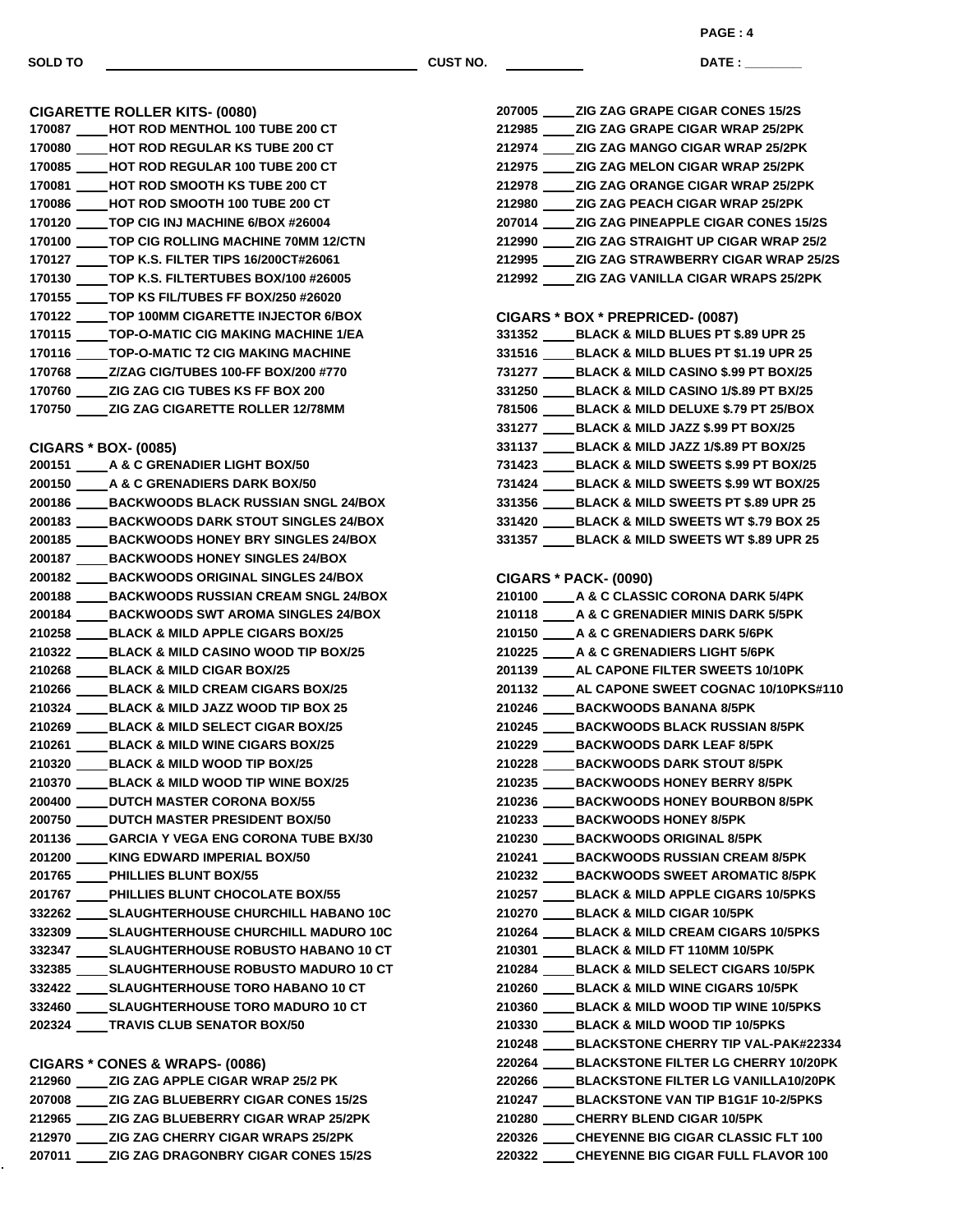<u> 1999 - Johann Barnett, f</u>

**DATE : \_\_\_\_\_\_\_\_\_\_\_\_\_\_\_ PAGE : 4**

| <b>CIGARETTE ROLLER KITS- (0080)</b>             | 207005 _____ ZIG ZAG GRAPE CIGAR CONES 15/2S      |
|--------------------------------------------------|---------------------------------------------------|
| 170087 ____HOT ROD MENTHOL 100 TUBE 200 CT       | 212985 _____ ZIG ZAG GRAPE CIGAR WRAP 25/2PK      |
|                                                  | 212974 _____ ZIG ZAG MANGO CIGAR WRAP 25/2PK      |
| 170085 ____HOT ROD REGULAR 100 TUBE 200 CT       | 212975 _____ ZIG ZAG MELON CIGAR WRAP 25/2PK      |
| 170081 ____HOT ROD SMOOTH KS TUBE 200 CT         | 212978 _____ ZIG ZAG ORANGE CIGAR WRAP 25/2P      |
| 170086 ____HOT ROD SMOOTH 100 TUBE 200 CT        | 212980 _____ ZIG ZAG PEACH CIGAR WRAP 25/2PK      |
| 170120 _____TOP CIG INJ MACHINE 6/BOX #26004     | 207014 _____ ZIG ZAG PINEAPPLE CIGAR CONES 1      |
| 170100 _____ TOP CIG ROLLING MACHINE 70MM 12/CTN | 212990 ____ZIG ZAG STRAIGHT UP CIGAR WRAP         |
| 170127 _____TOP K.S. FILTER TIPS 16/200CT#26061  | 212995 _____ ZIG ZAG STRAWBERRY CIGAR WRAP        |
| 170130 _____ TOP K.S. FILTERTUBES BOX/100 #26005 | 212992 ______ ZIG ZAG VANILLA CIGAR WRAPS 25/2    |
| 170155 _____ TOP KS FIL/TUBES FF BOX/250 #26020  |                                                   |
| 170122 _____ TOP 100MM CIGARETTE INJECTOR 6/BOX  | <b>CIGARS * BOX * PREPRICED- (0087)</b>           |
| 170115 _____ TOP-O-MATIC CIG MAKING MACHINE 1/EA | 331352 _____ BLACK & MILD BLUES PT \$.89 UPR 25   |
| 170116 _____ TOP-O-MATIC T2 CIG MAKING MACHINE   | 331516 _____ BLACK & MILD BLUES PT \$1.19 UPR 2   |
| 170768 ____Z/ZAG CIG/TUBES 100-FF BOX/200 #770   | 731277 _____ BLACK & MILD CASINO \$.99 PT BOX/2   |
| 170760 _____ ZIG ZAG CIG TUBES KS FF BOX 200     | 331250 _____ BLACK & MILD CASINO 1/\$.89 PT BX/2  |
| 170750 ____ZIG ZAG CIGARETTE ROLLER 12/78MM      | 781506 _____ BLACK & MILD DELUXE \$.79 PT 25/BC   |
|                                                  | 331277 _____ BLACK & MILD JAZZ \$.99 PT BOX/25    |
| <b>CIGARS * BOX- (0085)</b>                      | 331137 _____ BLACK & MILD JAZZ 1/\$.89 PT BOX/25  |
|                                                  | 731423 _____ BLACK & MILD SWEETS \$.99 PT BOX/    |
| 200150 _____ A & C GRENADIERS DARK BOX/50        | 731424 _____ BLACK & MILD SWEETS \$.99 WT BOX     |
| 200186 ____ BACKWOODS BLACK RUSSIAN SNGL 24/BOX  | 331356 _____BLACK & MILD SWEETS PT \$.89 UPR :    |
| 200183 ____ BACKWOODS DARK STOUT SINGLES 24/BOX  | 331420 _____ BLACK & MILD SWEETS WT \$.79 BOX     |
| 200185 _____ BACKWOODS HONEY BRY SINGLES 24/BOX  | 331357 _____ BLACK & MILD SWEETS WT \$.89 UPR     |
| 200187 _____ BACKWOODS HONEY SINGLES 24/BOX      |                                                   |
| 200182 _____ BACKWOODS ORIGINAL SINGLES 24/BOX   | <b>CIGARS * PACK- (0090)</b>                      |
| 200188 ____ BACKWOODS RUSSIAN CREAM SNGL 24/BOX  | 210100 _____ A & C CLASSIC CORONA DARK 5/4PK      |
| 200184 _____ BACKWOODS SWT AROMA SINGLES 24/BOX  | 210118 _____ A & C GRENADIER MINIS DARK 5/5PK     |
| 210258 _____ BLACK & MILD APPLE CIGARS BOX/25    | 210150 ____ A & C GRENADIERS DARK 5/6PK           |
| 210322 _____ BLACK & MILD CASINO WOOD TIP BOX/25 | 210225 _____ A & C GRENADIERS LIGHT 5/6PK         |
| 210268 _____ BLACK & MILD CIGAR BOX/25           | 201139 _____ AL CAPONE FILTER SWEETS 10/10PK      |
| 210266 _____ BLACK & MILD CREAM CIGARS BOX/25    | 201132 _____ AL CAPONE SWEET COGNAC 10/10PK       |
| 210324 _____ BLACK & MILD JAZZ WOOD TIP BOX 25   | 210246 _____ BACKWOODS BANANA 8/5PK               |
| 210269 _____ BLACK & MILD SELECT CIGAR BOX/25    | 210245 ____ BACKWOODS BLACK RUSSIAN 8/5PK         |
| 210261 _____ BLACK & MILD WINE CIGARS BOX/25     | 210229 _____ BACKWOODS DARK LEAF 8/5PK            |
| 210320 _____ BLACK & MILD WOOD TIP BOX/25        | 210228 _____ BACKWOODS DARK STOUT 8/5PK           |
|                                                  | 210235 BACKWOODS HONEY BERRY 8/5PK                |
|                                                  | 210236 _____ BACKWOODS HONEY BOURBON 8/5P         |
| 200750 _____ DUTCH MASTER PRESIDENT BOX/50       | 210233<br><b>BACKWOODS HONEY 8/5PK</b>            |
| 201136 GARCIA Y VEGA ENG CORONA TUBE BX/30       | 210230 ____ BACKWOODS ORIGINAL 8/5PK              |
| 201200 ____ KING EDWARD IMPERIAL BOX/50          | 210241 ____ BACKWOODS RUSSIAN CREAM 8/5PK         |
| 201765 _____ PHILLIES BLUNT BOX/55               | 210232 _____ BACKWOODS SWEET AROMATIC 8/5F        |
| 201767 PHILLIES BLUNT CHOCOLATE BOX/55           | 210257 _____ BLACK & MILD APPLE CIGARS 10/5PH     |
| 332262 _____ SLAUGHTERHOUSE CHURCHILL HABANO 10C | 210270 ____BLACK & MILD CIGAR 10/5PK              |
| 332309 _____ SLAUGHTERHOUSE CHURCHILL MADURO 10C | 210264 _____ BLACK & MILD CREAM CIGARS 10/5P      |
| 332347 _____ SLAUGHTERHOUSE ROBUSTO HABANO 10 CT | 210301 _____ BLACK & MILD FT 110MM 10/5PK         |
| 332385 _____ SLAUGHTERHOUSE ROBUSTO MADURO 10 CT | 210284 _____ BLACK & MILD SELECT CIGARS 10/5F     |
| 332422 _____ SLAUGHTERHOUSE TORO HABANO 10 CT    | 210260 _____ BLACK & MILD WINE CIGARS 10/5PK      |
| 332460 ______ SLAUGHTERHOUSE TORO MADURO 10 CT   | 210360 _____ BLACK & MILD WOOD TIP WINE 10/5P     |
| 202324 TRAVIS CLUB SENATOR BOX/50                | 210330 _____ BLACK & MILD WOOD TIP 10/5PKS        |
|                                                  | 210248 _____ BLACKSTONE CHERRY TIP VAL-PAK#       |
| CIGARS * CONES & WRAPS- (0086)                   | 220264 _____ BLACKSTONE FILTER LG CHERRY 10       |
| 212960 ______ ZIG ZAG APPLE CIGAR WRAP 25/2 PK   | 220266<br><b>BLACKSTONE FILTER LG VANILLA10</b>   |
| 207008<br>ZIG ZAG BLUEBERRY CIGAR CONES 15/2S    | 210247<br><b>BLACKSTONE VAN TIP B1G1F 10-2/5F</b> |
|                                                  |                                                   |

 **ZIG ZAG BLUEBERRY CIGAR WRAP 25/2PK ZIG ZAG CHERRY CIGAR WRAPS 25/2PK ZIG ZAG DRAGONBRY CIGAR CONES 15/2S**

| 212985 _____ZIG ZAG GRAPE CIGAR WRAP 25/2PK       |
|---------------------------------------------------|
| 212974 ______ ZIG ZAG MANGO CIGAR WRAP 25/2PK     |
| 212975 _____ ZIG ZAG MELON CIGAR WRAP 25/2PK      |
| 212978 _____ ZIG ZAG ORANGE CIGAR WRAP 25/2PK     |
| 212980 _____ ZIG ZAG PEACH CIGAR WRAP 25/2PK      |
| 207014 ______ ZIG ZAG PINEAPPLE CIGAR CONES 15/2S |
| 212990 _____ ZIG ZAG STRAIGHT UP CIGAR WRAP 25/2  |
| 212995 ______ ZIG ZAG STRAWBERRY CIGAR WRAP 25/2S |
| 212992 ______ ZIG ZAG VANILLA CIGAR WRAPS 25/2PK  |
|                                                   |
| CIGARS * BOX * PREPRICED- (0087)                  |
| 331352 _____ BLACK & MILD BLUES PT \$.89 UPR 25   |
| 331516 BLACK & MILD BLUES PT \$1.19 UPR 25        |
| 731277 _____ BLACK & MILD CASINO \$.99 PT BOX/25  |
| 331250 _____ BLACK & MILD CASINO 1/\$.89 PT BX/25 |
| 781506 _____ BLACK & MILD DELUXE \$.79 PT 25/BOX  |
| 331277 _____ BLACK & MILD JAZZ \$.99 PT BOX/25    |
| 331137 _____ BLACK & MILD JAZZ 1/\$.89 PT BOX/25  |
| 731423 _____ BLACK & MILD SWEETS \$.99 PT BOX/25  |
| 731424 _____ BLACK & MILD SWEETS \$.99 WT BOX/25  |
| 331356 _____ BLACK & MILD SWEETS PT \$.89 UPR 25  |
| 331420 BLACK & MILD SWEETS WT \$.79 BOX 25        |
| 331357 _____ BLACK & MILD SWEETS WT \$.89 UPR 25  |
|                                                   |
| <b>CIGARS * PACK- (0090)</b>                      |
| 210100 _____ A & C CLASSIC CORONA DARK 5/4PK      |
| 210118 ____ A & C GRENADIER MINIS DARK 5/5PK      |
| 210150 _____ A & C GRENADIERS DARK 5/6PK          |
| 210225 _____ A & C GRENADIERS LIGHT 5/6PK         |
| 201139 _____ AL CAPONE FILTER SWEETS 10/10PK      |
| 201132 ____ AL CAPONE SWEET COGNAC 10/10PKS#110   |
| 210246 _____ BACKWOODS BANANA 8/5PK               |
| 210245 ____ BACKWOODS BLACK RUSSIAN 8/5PK         |
| 210229 _____ BACKWOODS DARK LEAF 8/5PK            |
| 210228 _____ BACKWOODS DARK STOUT 8/5PK           |
| 210235 _____ BACKWOODS HONEY BERRY 8/5PK          |
| 210236 ____ BACKWOODS HONEY BOURBON 8/5PK         |
| 210233 BACKWOODS HONEY 8/5PK                      |
| 210230 ____ BACKWOODS ORIGINAL 8/5PK              |
| 210241 _____ BACKWOODS RUSSIAN CREAM 8/5PK        |
| 210232 _____ BACKWOODS SWEET AROMATIC 8/5PK       |
| 210257 _____ BLACK & MILD APPLE CIGARS 10/5PKS    |
| 210270 _____ BLACK & MILD CIGAR 10/5PK            |
| 210264 _____ BLACK & MILD CREAM CIGARS 10/5PKS    |
| 210301 _____ BLACK & MILD FT 110MM 10/5PK         |
| 210284 ____ BLACK & MILD SELECT CIGARS 10/5PK     |
| 210260 _____ BLACK & MILD WINE CIGARS 10/5PK      |
| 210360 _____ BLACK & MILD WOOD TIP WINE 10/5PKS   |
| 210330 _____ BLACK & MILD WOOD TIP 10/5PKS        |
| 210248 _____ BLACKSTONE CHERRY TIP VAL-PAK#22334  |
| 220264 _____ BLACKSTONE FILTER LG CHERRY 10/20PK  |
| 220266 _____ BLACKSTONE FILTER LG VANILLA10/20PK  |
| 210247 _____ BLACKSTONE VAN TIP B1G1F 10-2/5PKS   |
| 210280 ____CHERRY BLEND CIGAR 10/5PK              |
| 220326 _____ CHEYENNE BIG CIGAR CLASSIC FLT 100   |
| 220322 _____ CHEYENNE BIG CIGAR FULL FLAVOR 100   |
|                                                   |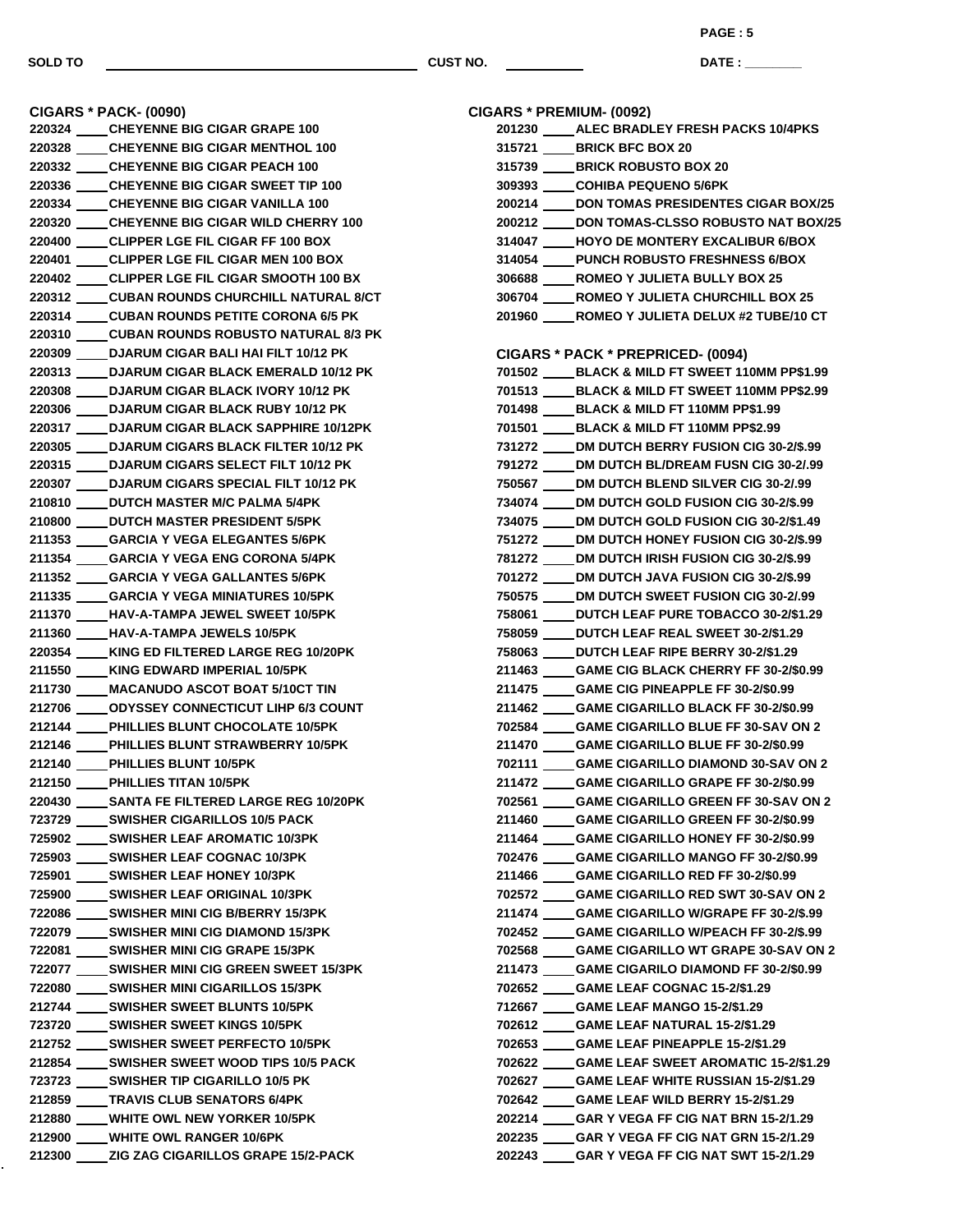**DATE : \_\_\_\_\_\_\_\_\_\_\_\_\_\_\_**

**CIGARS \* PACK- (0090) CHEYENNE BIG CIGAR GRAPE 100 CHEYENNE BIG CIGAR MENTHOL 100 CHEYENNE BIG CIGAR PEACH 100 CHEYENNE BIG CIGAR SWEET TIP 100 CHEYENNE BIG CIGAR VANILLA 100 CHEYENNE BIG CIGAR WILD CHERRY 100 CLIPPER LGE FIL CIGAR FF 100 BOX CLIPPER LGE FIL CIGAR MEN 100 BOX CLIPPER LGE FIL CIGAR SMOOTH 100 BX CUBAN ROUNDS CHURCHILL NATURAL 8/CT CUBAN ROUNDS PETITE CORONA 6/5 PK CUBAN ROUNDS ROBUSTO NATURAL 8/3 PK DJARUM CIGAR BALI HAI FILT 10/12 PK DJARUM CIGAR BLACK EMERALD 10/12 PK DJARUM CIGAR BLACK IVORY 10/12 PK DJARUM CIGAR BLACK RUBY 10/12 PK DJARUM CIGAR BLACK SAPPHIRE 10/12PK DJARUM CIGARS BLACK FILTER 10/12 PK DJARUM CIGARS SELECT FILT 10/12 PK DJARUM CIGARS SPECIAL FILT 10/12 PK DUTCH MASTER M/C PALMA 5/4PK DUTCH MASTER PRESIDENT 5/5PK GARCIA Y VEGA ELEGANTES 5/6PK GARCIA Y VEGA ENG CORONA 5/4PK GARCIA Y VEGA GALLANTES 5/6PK GARCIA Y VEGA MINIATURES 10/5PK HAV-A-TAMPA JEWEL SWEET 10/5PK HAV-A-TAMPA JEWELS 10/5PK KING ED FILTERED LARGE REG 10/20PK KING EDWARD IMPERIAL 10/5PK MACANUDO ASCOT BOAT 5/10CT TIN ODYSSEY CONNECTICUT LIHP 6/3 COUNT PHILLIES BLUNT CHOCOLATE 10/5PK PHILLIES BLUNT STRAWBERRY 10/5PK PHILLIES BLUNT 10/5PK PHILLIES TITAN 10/5PK SANTA FE FILTERED LARGE REG 10/20PK SWISHER CIGARILLOS 10/5 PACK SWISHER LEAF AROMATIC 10/3PK SWISHER LEAF COGNAC 10/3PK SWISHER LEAF HONEY 10/3PK SWISHER LEAF ORIGINAL 10/3PK SWISHER MINI CIG B/BERRY 15/3PK SWISHER MINI CIG DIAMOND 15/3PK SWISHER MINI CIG GRAPE 15/3PK SWISHER MINI CIG GREEN SWEET 15/3PK SWISHER MINI CIGARILLOS 15/3PK SWISHER SWEET BLUNTS 10/5PK SWISHER SWEET KINGS 10/5PK SWISHER SWEET PERFECTO 10/5PK SWISHER SWEET WOOD TIPS 10/5 PACK SWISHER TIP CIGARILLO 10/5 PK TRAVIS CLUB SENATORS 6/4PK WHITE OWL NEW YORKER 10/5PK WHITE OWL RANGER 10/6PK ZIG ZAG CIGARILLOS GRAPE 15/2-PACK**

| CIGARS * PREMIUM- (0092)                          |
|---------------------------------------------------|
| 201230 _____ ALEC BRADLEY FRESH PACKS 10/4PKS     |
| 315721 _____ BRICK BFC BOX 20                     |
| 315739 ____ BRICK ROBUSTO BOX 20                  |
| 309393 COHIBA PEQUENO 5/6PK                       |
| 200214 DON TOMAS PRESIDENTES CIGAR BOX/25         |
| 200212 DON TOMAS-CLSSO ROBUSTO NAT BOX/25         |
| 314047 HOYO DE MONTERY EXCALIBUR 6/BOX            |
| 314054 PUNCH ROBUSTO FRESHNESS 6/BOX              |
| 306688 ROMEO Y JULIETA BULLY BOX 25               |
| 306704 ROMEO Y JULIETA CHURCHILL BOX 25           |
| 201960 ROMEO Y JULIETA DELUX #2 TUBE/10 CT        |
| CIGARS * PACK * PREPRICED- (0094)                 |
| 701502 _____ BLACK & MILD FT SWEET 110MM PP\$1.99 |
| 701513 BLACK & MILD FT SWEET 110MM PP\$2.99       |
| 701498 BLACK & MILD FT 110MM PP\$1.99             |
| 701501 BLACK & MILD FT 110MM PP\$2.99             |
| 731272 DM DUTCH BERRY FUSION CIG 30-2/\$.99       |
| 791272 DM DUTCH BL/DREAM FUSN CIG 30-2/.99        |
| 750567 DM DUTCH BLEND SILVER CIG 30-2/.99         |
| 734074 DM DUTCH GOLD FUSION CIG 30-2/\$.99        |
| 734075 DM DUTCH GOLD FUSION CIG 30-2/\$1.49       |
| 751272 DM DUTCH HONEY FUSION CIG 30-2/\$.99       |
| 781272 DM DUTCH IRISH FUSION CIG 30-2/\$.99       |
| 701272 ____ DM DUTCH JAVA FUSION CIG 30-2/\$.99   |
| 750575 ____ DM DUTCH SWEET FUSION CIG 30-2/.99    |
| 758061 DUTCH LEAF PURE TOBACCO 30-2/\$1.29        |
| 758059 _____ DUTCH LEAF REAL SWEET 30-2/\$1.29    |
| 758063 _____ DUTCH LEAF RIPE BERRY 30-2/\$1.29    |
| 211463 GAME CIG BLACK CHERRY FF 30-2/\$0.99       |
| 211475 GAME CIG PINEAPPLE FF 30-2/\$0.99          |
| 211462 GAME CIGARILLO BLACK FF 30-2/\$0.99        |
| 702584 GAME CIGARILLO BLUE FF 30-SAV ON 2         |
| 211470 _____ GAME CIGARILLO BLUE FF 30-2/\$0.99   |
| 702111 ____GAME CIGARILLO DIAMOND 30-SAV ON 2     |
| 211472 GAME CIGARILLO GRAPE FF 30-2/\$0.99        |
| 702561 GAME CIGARILLO GREEN FF 30-SAV ON 2        |
| 211460 GAME CIGARILLO GREEN FF 30-2/\$0.99        |
| 211464 _____ GAME CIGARILLO HONEY FF 30-2/\$0.99  |
| 702476 _____ GAME CIGARILLO MANGO FF 30-2/\$0.99  |
| 211466 _____GAME CIGARILLO RED FF 30-2/\$0.99     |
| 702572 _____ GAME CIGARILLO RED SWT 30-SAV ON 2   |
| 211474 _____ GAME CIGARILLO W/GRAPE FF 30-2/\$.99 |
| 702452 _____ GAME CIGARILLO W/PEACH FF 30-2/\$.99 |
| 702568 _____ GAME CIGARILLO WT GRAPE 30-SAV ON 2  |
| 211473 _____ GAME CIGARILO DIAMOND FF 30-2/\$0.99 |
| 702652 _____ GAME LEAF COGNAC 15-2/\$1.29         |
| 712667 ______ GAME LEAF MANGO 15-2/\$1.29         |
| 702612 ______ GAME LEAF NATURAL 15-2/\$1.29       |
| 702653 _____ GAME LEAF PINEAPPLE 15-2/\$1.29      |
| 702622 _____ GAME LEAF SWEET AROMATIC 15-2/\$1.29 |
| 702627 _____ GAME LEAF WHITE RUSSIAN 15-2/\$1.29  |
| 702642 _____ GAME LEAF WILD BERRY 15-2/\$1.29     |
| 202214 _____ GAR Y VEGA FF CIG NAT BRN 15-2/1.29  |
| 202235 GAR Y VEGA FF CIG NAT GRN 15-2/1.29        |
| 202243 _____GAR Y VEGA FF CIG NAT SWT 15-2/1.29   |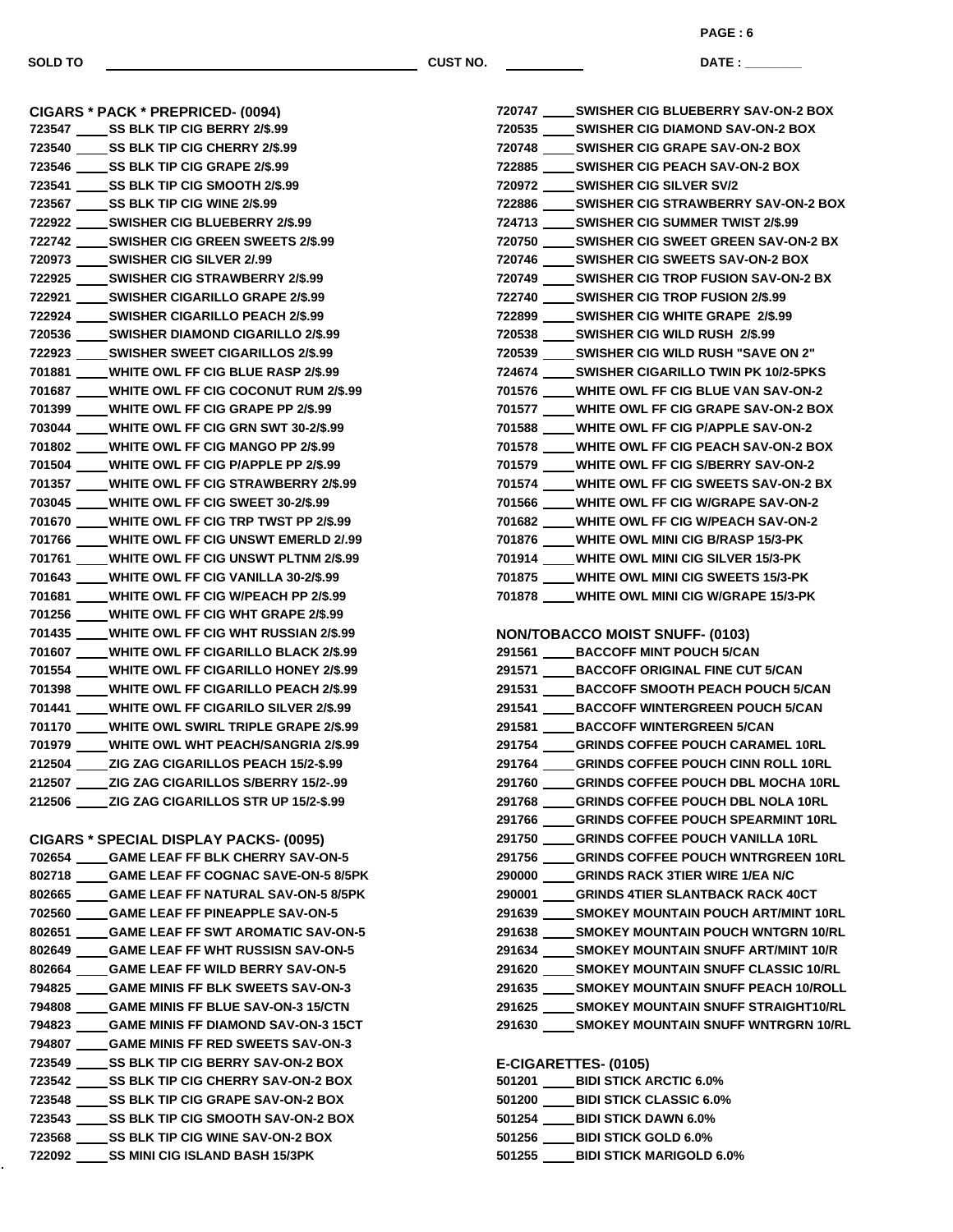**PAGE : 6**

**DATE : \_\_\_\_\_\_\_\_\_\_\_\_\_\_\_**

**CIGARS \* PACK \* PREPRICED- (0094) SS BLK TIP CIG BERRY 2/\$.99 SS BLK TIP CIG CHERRY 2/\$.99 SS BLK TIP CIG GRAPE 2/\$.99 SS BLK TIP CIG SMOOTH 2/\$.99 SS BLK TIP CIG WINE 2/\$.99 SWISHER CIG BLUEBERRY 2/\$.99 SWISHER CIG GREEN SWEETS 2/\$.99 SWISHER CIG SILVER 2/.99 SWISHER CIG STRAWBERRY 2/\$.99 SWISHER CIGARILLO GRAPE 2/\$.99 SWISHER CIGARILLO PEACH 2/\$.99 SWISHER DIAMOND CIGARILLO 2/\$.99 SWISHER SWEET CIGARILLOS 2/\$.99 WHITE OWL FF CIG BLUE RASP 2/\$.99 WHITE OWL FF CIG COCONUT RUM 2/\$.99 WHITE OWL FF CIG GRAPE PP 2/\$.99 WHITE OWL FF CIG GRN SWT 30-2/\$.99 WHITE OWL FF CIG MANGO PP 2/\$.99 WHITE OWL FF CIG P/APPLE PP 2/\$.99 WHITE OWL FF CIG STRAWBERRY 2/\$.99 WHITE OWL FF CIG SWEET 30-2/\$.99 WHITE OWL FF CIG TRP TWST PP 2/\$.99 WHITE OWL FF CIG UNSWT EMERLD 2/.99 WHITE OWL FF CIG UNSWT PLTNM 2/\$.99 WHITE OWL FF CIG VANILLA 30-2/\$.99 WHITE OWL FF CIG W/PEACH PP 2/\$.99 WHITE OWL FF CIG WHT GRAPE 2/\$.99 WHITE OWL FF CIG WHT RUSSIAN 2/\$.99 WHITE OWL FF CIGARILLO BLACK 2/\$.99 WHITE OWL FF CIGARILLO HONEY 2/\$.99 WHITE OWL FF CIGARILLO PEACH 2/\$.99 WHITE OWL FF CIGARILO SILVER 2/\$.99 WHITE OWL SWIRL TRIPLE GRAPE 2/\$.99 WHITE OWL WHT PEACH/SANGRIA 2/\$.99 ZIG ZAG CIGARILLOS PEACH 15/2-\$.99 ZIG ZAG CIGARILLOS S/BERRY 15/2-.99 ZIG ZAG CIGARILLOS STR UP 15/2-\$.99 CIGARS \* SPECIAL DISPLAY PACKS- (0095) GAME LEAF FF BLK CHERRY SAV-ON-5 GAME LEAF FF COGNAC SAVE-ON-5 8/5PK GAME LEAF FF NATURAL SAV-ON-5 8/5PK GAME LEAF FF PINEAPPLE SAV-ON-5 GAME LEAF FF SWT AROMATIC SAV-ON-5 GAME LEAF FF WHT RUSSISN SAV-ON-5 GAME LEAF FF WILD BERRY SAV-ON-5 GAME MINIS FF BLK SWEETS SAV-ON-3 GAME MINIS FF BLUE SAV-ON-3 15/CTN GAME MINIS FF DIAMOND SAV-ON-3 15CT GAME MINIS FF RED SWEETS SAV-ON-3 SS BLK TIP CIG BERRY SAV-ON-2 BOX SS BLK TIP CIG CHERRY SAV-ON-2 BOX SS BLK TIP CIG GRAPE SAV-ON-2 BOX SS BLK TIP CIG SMOOTH SAV-ON-2 BOX SS BLK TIP CIG WINE SAV-ON-2 BOX SS MINI CIG ISLAND BASH 15/3PK**

| 720747 _____ SWISHER CIG BLUEBERRY SAV-ON-2 BOX   |
|---------------------------------------------------|
| 720535 _____ SWISHER CIG DIAMOND SAV-ON-2 BOX     |
| 720748 ______ SWISHER CIG GRAPE SAV-ON-2 BOX      |
| 722885 SWISHER CIG PEACH SAV-ON-2 BOX             |
| 720972 _____ SWISHER CIG SILVER SV/2              |
| 722886 _____ SWISHER CIG STRAWBERRY SAV-ON-2 BOX  |
| 724713 SWISHER CIG SUMMER TWIST 2/\$.99           |
| 720750 ______ SWISHER CIG SWEET GREEN SAV-ON-2 BX |
| 720746 _____ SWISHER CIG SWEETS SAV-ON-2 BOX      |
| 720749 _____ SWISHER CIG TROP FUSION SAV-ON-2 BX  |
| 722740 SWISHER CIG TROP FUSION 2/\$.99            |
| 722899 _____SWISHER CIG WHITE GRAPE 2/\$.99       |
| 720538 _____ SWISHER CIG WILD RUSH 2/\$.99        |
| 720539 SWISHER CIG WILD RUSH "SAVE ON 2"          |
| 724674 _____SWISHER CIGARILLO TWIN PK 10/2-5PKS   |
| 701576 ____WHITE OWL FF CIG BLUE VAN SAV-ON-2     |
| 701577 ____ WHITE OWL FF CIG GRAPE SAV-ON-2 BOX   |
| 701588 WHITE OWL FF CIG P/APPLE SAV-ON-2          |
| 701578 ____WHITE OWL FF CIG PEACH SAV-ON-2 BOX    |
| 701579 ____ WHITE OWL FF CIG S/BERRY SAV-ON-2     |
| 701574 WHITE OWL FF CIG SWEETS SAV-ON-2 BX        |
| 701566 ____WHITE OWL FF CIG W/GRAPE SAV-ON-2      |
| 701682 ____WHITE OWL FF CIG W/PEACH SAV-ON-2      |
| 701876 ____WHITE OWL MINI CIG B/RASP 15/3-PK      |
| 701914 WHITE OWL MINI CIG SILVER 15/3-PK          |
| 701875 WHITE OWL MINI CIG SWEETS 15/3-PK          |
| 701878 ____WHITE OWL MINI CIG W/GRAPE 15/3-PK     |
|                                                   |
| <b>NON/TOBACCO MOIST SNUFF- (0103)</b>            |
| 291561 _____ BACCOFF MINT POUCH 5/CAN             |
| 291571 _____ BACCOFF ORIGINAL FINE CUT 5/CAN      |
| 291531 _____ BACCOFF SMOOTH PEACH POUCH 5/CAN     |
| 201511 DACCOFF WINTEDCDEEN DOUCH EICAN            |

| 291541 | <b>BACCOFF WINTERGREEN POUCH 5/CAN</b>               |
|--------|------------------------------------------------------|
| 291581 | <b>BACCOFF WINTERGREEN 5/CAN</b>                     |
| 291754 | <b>GRINDS COFFEE POUCH CARAMEL 10RL</b>              |
| 291764 | <b>GRINDS COFFEE POUCH CINN ROLL 10RL</b>            |
| 291760 | <b>GRINDS COFFEE POUCH DBL MOCHA 10RL</b>            |
| 291768 | <b>GRINDS COFFEE POUCH DBL NOLA 10RL</b>             |
| 291766 | <b>GRINDS COFFEE POUCH SPEARMINT 10RL</b>            |
| 291750 | <b>GRINDS COFFEE POUCH VANILLA 10RL</b>              |
| 291756 | <b>GRINDS COFFEE POUCH WNTRGREEN 10RL</b>            |
| 290000 | <b>GRINDS RACK 3TIER WIRE 1/EA N/C</b>               |
| 290001 | <b>GRINDS 4TIER SLANTBACK RACK 40CT</b>              |
| 291639 | SMOKEY MOUNTAIN POUCH ART/MINT 10RL                  |
| 291638 | SMOKEY MOUNTAIN POUCH WNTGRN 10/RL                   |
|        | 291634           SMOKEY MOUNTAIN SNUFF ART/MINT 10/R |
| 291620 | <b>SMOKEY MOUNTAIN SNUFF CLASSIC 10/RL</b>           |

- **291635 \_\_\_\_\_ SMOKEY MOUNTAIN SNUFF PEACH 10/ROLL**
- **SMOKEY MOUNTAIN SNUFF STRAIGHT10/RL SMOKEY MOUNTAIN SNUFF WNTRGRN 10/RL**

**E-CIGARETTES- (0105)**

| 501201 | <b>BIDI STICK ARCTIC 6.0%</b>   |
|--------|---------------------------------|
| 501200 | <b>BIDI STICK CLASSIC 6.0%</b>  |
| 501254 | <b>BIDI STICK DAWN 6.0%</b>     |
| 501256 | <b>BIDI STICK GOLD 6.0%</b>     |
| 501255 | <b>BIDI STICK MARIGOLD 6.0%</b> |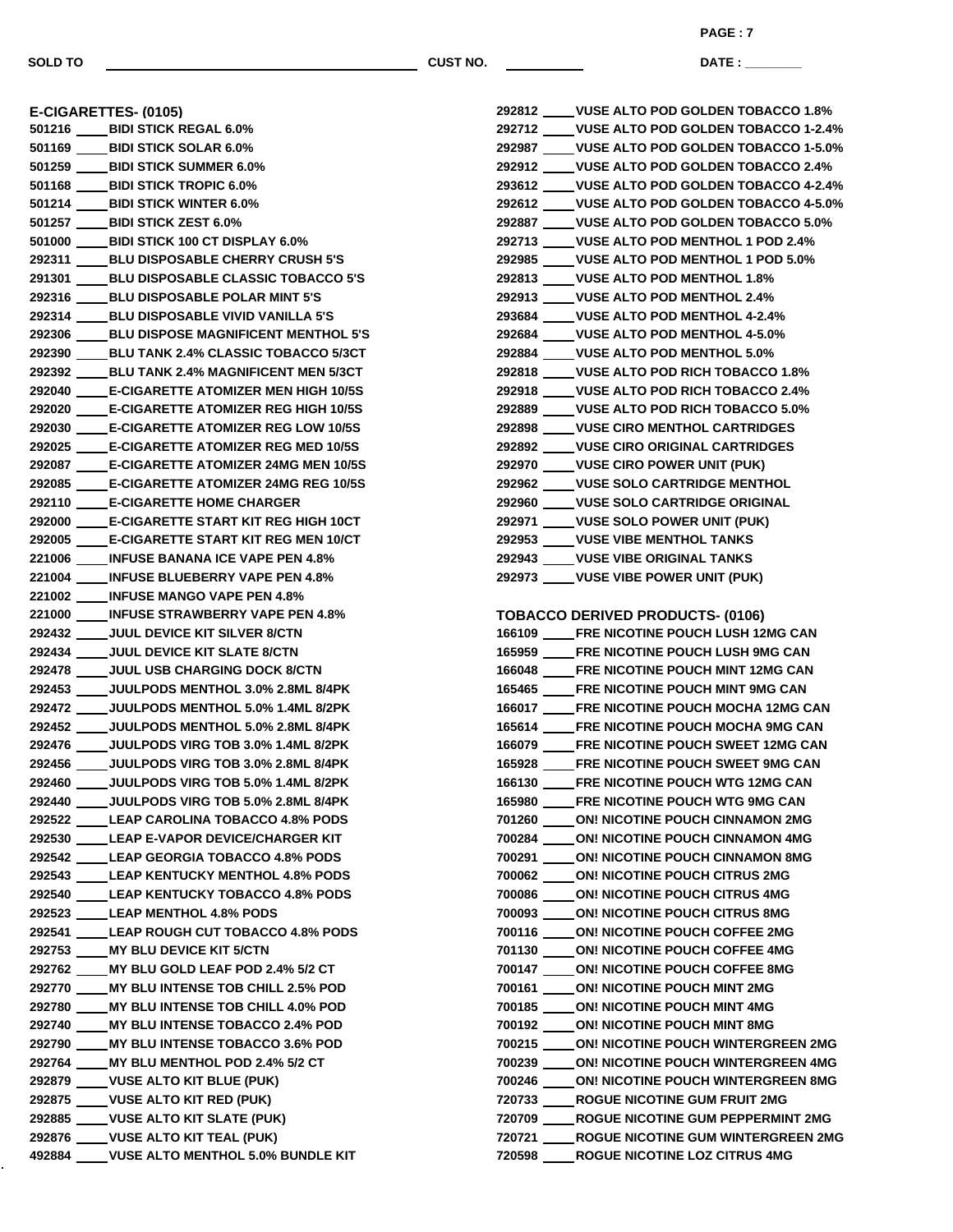**PAGE : 7**

**DATE : \_\_\_\_\_\_\_\_\_\_\_\_\_\_\_**

**E-CIGARETTES- (0105) BIDI STICK REGAL 6.0% BIDI STICK SOLAR 6.0% BIDI STICK SUMMER 6.0% BIDI STICK TROPIC 6.0% BIDI STICK WINTER 6.0% BIDI STICK ZEST 6.0% BIDI STICK 100 CT DISPLAY 6.0% BLU DISPOSABLE CHERRY CRUSH 5'S BLU DISPOSABLE CLASSIC TOBACCO 5'S BLU DISPOSABLE POLAR MINT 5'S BLU DISPOSABLE VIVID VANILLA 5'S BLU DISPOSE MAGNIFICENT MENTHOL 5'S BLU TANK 2.4% CLASSIC TOBACCO 5/3CT BLU TANK 2.4% MAGNIFICENT MEN 5/3CT E-CIGARETTE ATOMIZER MEN HIGH 10/5S E-CIGARETTE ATOMIZER REG HIGH 10/5S E-CIGARETTE ATOMIZER REG LOW 10/5S E-CIGARETTE ATOMIZER REG MED 10/5S E-CIGARETTE ATOMIZER 24MG MEN 10/5S E-CIGARETTE ATOMIZER 24MG REG 10/5S E-CIGARETTE HOME CHARGER E-CIGARETTE START KIT REG HIGH 10CT E-CIGARETTE START KIT REG MEN 10/CT INFUSE BANANA ICE VAPE PEN 4.8% INFUSE BLUEBERRY VAPE PEN 4.8% INFUSE MANGO VAPE PEN 4.8% INFUSE STRAWBERRY VAPE PEN 4.8% JUUL DEVICE KIT SILVER 8/CTN JUUL DEVICE KIT SLATE 8/CTN JUUL USB CHARGING DOCK 8/CTN JUULPODS MENTHOL 3.0% 2.8ML 8/4PK JUULPODS MENTHOL 5.0% 1.4ML 8/2PK JUULPODS MENTHOL 5.0% 2.8ML 8/4PK JUULPODS VIRG TOB 3.0% 1.4ML 8/2PK JUULPODS VIRG TOB 3.0% 2.8ML 8/4PK JUULPODS VIRG TOB 5.0% 1.4ML 8/2PK JUULPODS VIRG TOB 5.0% 2.8ML 8/4PK LEAP CAROLINA TOBACCO 4.8% PODS LEAP E-VAPOR DEVICE/CHARGER KIT LEAP GEORGIA TOBACCO 4.8% PODS LEAP KENTUCKY MENTHOL 4.8% PODS LEAP KENTUCKY TOBACCO 4.8% PODS LEAP MENTHOL 4.8% PODS LEAP ROUGH CUT TOBACCO 4.8% PODS MY BLU DEVICE KIT 5/CTN MY BLU GOLD LEAF POD 2.4% 5/2 CT MY BLU INTENSE TOB CHILL 2.5% POD MY BLU INTENSE TOB CHILL 4.0% POD MY BLU INTENSE TOBACCO 2.4% POD MY BLU INTENSE TOBACCO 3.6% POD MY BLU MENTHOL POD 2.4% 5/2 CT VUSE ALTO KIT BLUE (PUK) VUSE ALTO KIT RED (PUK) VUSE ALTO KIT SLATE (PUK) VUSE ALTO KIT TEAL (PUK) VUSE ALTO MENTHOL 5.0% BUNDLE KIT**

| 292812 ____ VUSE ALTO POD GOLDEN TOBACCO 1.8%                                               |
|---------------------------------------------------------------------------------------------|
| __VUSE ALTO POD GOLDEN TOBACCO 1-2.4%<br>292712                                             |
| __VUSE ALTO POD GOLDEN TOBACCO 1-5.0%<br>292987                                             |
| 292912 ____ VUSE ALTO POD GOLDEN TOBACCO 2.4%                                               |
| 293612 ____ VUSE ALTO POD GOLDEN TOBACCO 4-2.4%                                             |
| 292612 ____ VUSE ALTO POD GOLDEN TOBACCO 4-5.0%                                             |
| 292887 _____ VUSE ALTO POD GOLDEN TOBACCO 5.0%                                              |
| VUSE ALTO POD MENTHOL 1 POD 2.4%<br>292713                                                  |
| 292985 _____ VUSE ALTO POD MENTHOL 1 POD 5.0%                                               |
| 292813 ____VUSE ALTO POD MENTHOL 1.8%                                                       |
| 292913 ____VUSE ALTO POD MENTHOL 2.4%                                                       |
| 293684 _____ VUSE ALTO POD MENTHOL 4-2.4%                                                   |
| 292684 _____ VUSE ALTO POD MENTHOL 4-5.0%                                                   |
| 292884 ____VUSE ALTO POD MENTHOL 5.0%                                                       |
| 292818 ____ VUSE ALTO POD RICH TOBACCO 1.8%                                                 |
| 292918 _____ VUSE ALTO POD RICH TOBACCO 2.4%                                                |
| 292889 ____VUSE ALTO POD RICH TOBACCO 5.0%                                                  |
| 292898 ____VUSE CIRO MENTHOL CARTRIDGES                                                     |
| 292892 ____VUSE CIRO ORIGINAL CARTRIDGES                                                    |
| 292970 _____ VUSE CIRO POWER UNIT (PUK)                                                     |
| 292962 ____VUSE SOLO CARTRIDGE MENTHOL                                                      |
| 292960 ____VUSE SOLO CARTRIDGE ORIGINAL                                                     |
| 292971 ____ VUSE SOLO POWER UNIT (PUK)                                                      |
| 292953 _____ VUSE VIBE MENTHOL TANKS                                                        |
| 292943 ____ VUSE VIBE ORIGINAL TANKS                                                        |
| 292973 _____ VUSE VIBE POWER UNIT (PUK)                                                     |
|                                                                                             |
| <b>TOBACCO DERIVED PRODUCTS- (0106)</b>                                                     |
| 166109 _____FRE NICOTINE POUCH LUSH 12MG CAN                                                |
| FRE NICOTINE POUCH LUSH 9MG CAN<br>165959                                                   |
| FRE NICOTINE POUCH MINT 12MG CAN<br>166048                                                  |
| FRE NICOTINE POUCH MINT 9MG CAN<br>165465                                                   |
| FRE NICOTINE POUCH MOCHA 12MG CAN<br>166017                                                 |
|                                                                                             |
| FRE NICOTINE POUCH MOCHA 9MG CAN<br>165614                                                  |
| <b>FRE NICOTINE POUCH SWEET 12MG CAN</b><br>166079                                          |
| 165928 _____FRE NICOTINE POUCH SWEET 9MG CAN                                                |
| <b>FRE NICOTINE POUCH WTG 12MG CAN</b><br>166130                                            |
| 165980 ____FRE NICOTINE POUCH WTG 9MG CAN                                                   |
| 701260 _____ ON! NICOTINE POUCH CINNAMON 2MG                                                |
| 700284 ____ON! NICOTINE POUCH CINNAMON 4MG                                                  |
| 700291 _____ ON! NICOTINE POUCH CINNAMON 8MG                                                |
| 700062 _____ ON! NICOTINE POUCH CITRUS 2MG                                                  |
| 700086 ____ON! NICOTINE POUCH CITRUS 4MG                                                    |
| 700093 ____ON! NICOTINE POUCH CITRUS 8MG                                                    |
| 700116 _____ ON! NICOTINE POUCH COFFEE 2MG                                                  |
| 701130 _____ ON! NICOTINE POUCH COFFEE 4MG                                                  |
| 700147 _____ ON! NICOTINE POUCH COFFEE 8MG                                                  |
| 700161 _____ ON! NICOTINE POUCH MINT 2MG                                                    |
| 700185 _____ ON! NICOTINE POUCH MINT 4MG                                                    |
| 700192 _____ ON! NICOTINE POUCH MINT 8MG                                                    |
| 700215 ____ ON! NICOTINE POUCH WINTERGREEN 2MG                                              |
| 700239 ____ ON! NICOTINE POUCH WINTERGREEN 4MG                                              |
| 700246 ____ON! NICOTINE POUCH WINTERGREEN 8MG                                               |
| 720733 ____ROGUE NICOTINE GUM FRUIT 2MG                                                     |
| 720709 _____ ROGUE NICOTINE GUM PEPPERMINT 2MG                                              |
| 720721 _____ ROGUE NICOTINE GUM WINTERGREEN 2MG<br>720598 ____ROGUE NICOTINE LOZ CITRUS 4MG |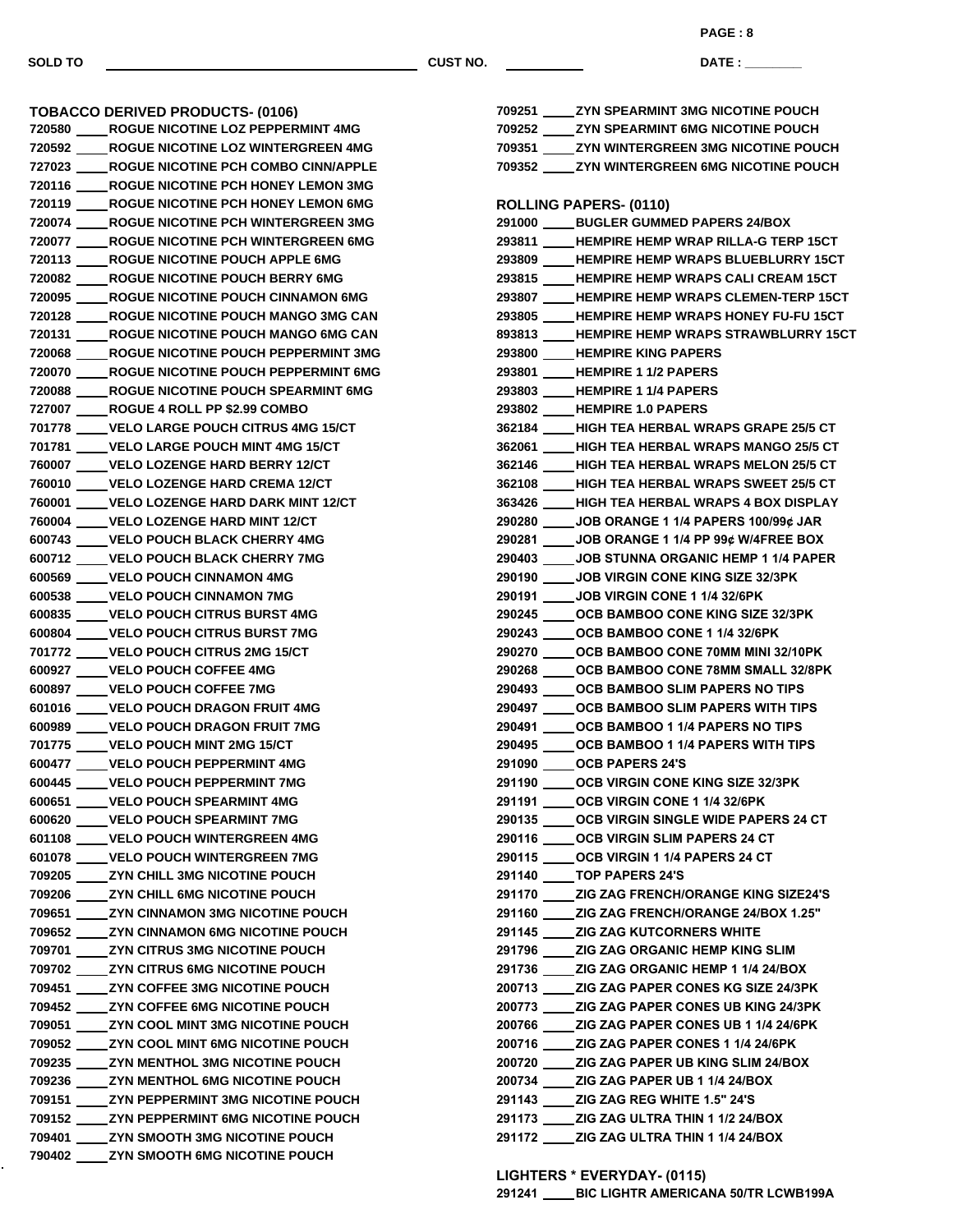k,

**SOLD TO CUST NO.**

**PAGE : 8**

**DATE : \_\_\_\_\_\_\_\_\_\_\_\_\_\_\_**

| TOBACCO DERIVED PRODUCTS- (0106)               |
|------------------------------------------------|
|                                                |
| 720592 ROGUE NICOTINE LOZ WINTERGREEN 4MG      |
| 727023 ROGUE NICOTINE PCH COMBO CINN/APPLE     |
| 720116 ROGUE NICOTINE PCH HONEY LEMON 3MG      |
| 720119 ROGUE NICOTINE PCH HONEY LEMON 6MG      |
| 720074 ROGUE NICOTINE PCH WINTERGREEN 3MG      |
| 720077 ROGUE NICOTINE PCH WINTERGREEN 6MG      |
| 720113 ROGUE NICOTINE POUCH APPLE 6MG          |
| 720082 ROGUE NICOTINE POUCH BERRY 6MG          |
| 720095 ROGUE NICOTINE POUCH CINNAMON 6MG       |
| 720128 ROGUE NICOTINE POUCH MANGO 3MG CAN      |
| 720131 ROGUE NICOTINE POUCH MANGO 6MG CAN      |
| 720068 ROGUE NICOTINE POUCH PEPPERMINT 3MG     |
| 720070 ROGUE NICOTINE POUCH PEPPERMINT 6MG     |
| 720088 ROGUE NICOTINE POUCH SPEARMINT 6MG      |
| 727007 ROGUE 4 ROLL PP \$2.99 COMBO            |
| 701778 ____ VELO LARGE POUCH CITRUS 4MG 15/CT  |
| 701781 ____VELO LARGE POUCH MINT 4MG 15/CT     |
| 760007 ____ VELO LOZENGE HARD BERRY 12/CT      |
| 760010 ____VELO LOZENGE HARD CREMA 12/CT       |
| 760001 ____ VELO LOZENGE HARD DARK MINT 12/CT  |
| 760004 ____VELO LOZENGE HARD MINT 12/CT        |
| 600743 ____VELO POUCH BLACK CHERRY 4MG         |
| 600712 ____ VELO POUCH BLACK CHERRY 7MG        |
| 600569 ____ VELO POUCH CINNAMON 4MG            |
| 600538 ____VELO POUCH CINNAMON 7MG             |
| 600835 ____ VELO POUCH CITRUS BURST 4MG        |
| 600804 ____VELO POUCH CITRUS BURST 7MG         |
| 701772 ____ VELO POUCH CITRUS 2MG 15/CT        |
| 600927 ____VELO POUCH COFFEE 4MG               |
| 600897 ____VELO POUCH COFFEE 7MG               |
| 601016 ____VELO POUCH DRAGON FRUIT 4MG         |
| 600989 ____ VELO POUCH DRAGON FRUIT 7MG        |
| 701775 _____ VELO POUCH MINT 2MG 15/CT         |
| 600477 _____ VELO POUCH PEPPERMINT 4MG         |
| 600445 ____VELO POUCH PEPPERMINT 7MG           |
| 600651 _____ VELO POUCH SPEARMINT 4MG          |
| 600620 ____ VELO POUCH SPEARMINT 7MG           |
| 601108 ____VELO POUCH WINTERGREEN 4MG          |
| 601078 ____VELO POUCH WINTERGREEN 7MG          |
| 709205 _____ ZYN CHILL 3MG NICOTINE POUCH      |
| 709206 _____ ZYN CHILL 6MG NICOTINE POUCH      |
| 709651 ______ ZYN CINNAMON 3MG NICOTINE POUCH  |
| 709652 _____ ZYN CINNAMON 6MG NICOTINE POUCH   |
| 709701 _____ ZYN CITRUS 3MG NICOTINE POUCH     |
| 709702 _____ ZYN CITRUS 6MG NICOTINE POUCH     |
| 709451 ZYN COFFEE 3MG NICOTINE POUCH           |
| 709452 _____ ZYN COFFEE 6MG NICOTINE POUCH     |
| 709051 ______ ZYN COOL MINT 3MG NICOTINE POUCH |
| 709052 _____ ZYN COOL MINT 6MG NICOTINE POUCH  |
| 709235 _____ ZYN MENTHOL 3MG NICOTINE POUCH    |
| 709236 _____ ZYN MENTHOL 6MG NICOTINE POUCH    |
| 709151 _____ ZYN PEPPERMINT 3MG NICOTINE POUCH |
| 709152 _____ ZYN PEPPERMINT 6MG NICOTINE POUCH |
| 709401 _____ ZYN SMOOTH 3MG NICOTINE POUCH     |
| 790402 _____ ZYN SMOOTH 6MG NICOTINE POUCH     |

| 709251 _____ ZYN SPEARMINT 3MG NICOTINE POUCH    |
|--------------------------------------------------|
| 709252 ____ ZYN SPEARMINT 6MG NICOTINE POUCH     |
| 709351 ____ ZYN WINTERGREEN 3MG NICOTINE POUCH   |
| 709352 _____ ZYN WINTERGREEN 6MG NICOTINE POUCH  |
|                                                  |
| <b>ROLLING PAPERS- (0110)</b>                    |
| 291000 ____ BUGLER GUMMED PAPERS 24/BOX          |
| 293811 ____HEMPIRE HEMP WRAP RILLA-G TERP 15CT   |
| 293809 ____HEMPIRE HEMP WRAPS BLUEBLURRY 15CT    |
| 293815 ____HEMPIRE HEMP WRAPS CALI CREAM 15CT    |
| 293807 ____HEMPIRE HEMP WRAPS CLEMEN-TERP 15CT   |
| 293805 ____HEMPIRE HEMP WRAPS HONEY FU-FU 15CT   |
| 893813 ____HEMPIRE HEMP WRAPS STRAWBLURRY 15CT   |
| 293800 ____HEMPIRE KING PAPERS                   |
| 293801 ____ HEMPIRE 1 1/2 PAPERS                 |
| 293803 ____HEMPIRE 1 1/4 PAPERS                  |
| 293802 ____HEMPIRE 1.0 PAPERS                    |
| 362184 ____HIGH TEA HERBAL WRAPS GRAPE 25/5 CT   |
| 362061 ____HIGH TEA HERBAL WRAPS MANGO 25/5 CT   |
| 362146 ____HIGH TEA HERBAL WRAPS MELON 25/5 CT   |
| 362108 ____HIGH TEA HERBAL WRAPS SWEET 25/5 CT   |
| 363426 ____HIGH TEA HERBAL WRAPS 4 BOX DISPLAY   |
| 290280 _____ JOB ORANGE 1 1/4 PAPERS 100/99¢ JAR |
| 290281 _____ JOB ORANGE 1 1/4 PP 99¢ W/4FREE BOX |
| 290403 ____ JOB STUNNA ORGANIC HEMP 1 1/4 PAPER  |
| 290190 _____ JOB VIRGIN CONE KING SIZE 32/3PK    |
| 290191 _____ JOB VIRGIN CONE 1 1/4 32/6PK        |
| 290245 _____ OCB BAMBOO CONE KING SIZE 32/3PK    |
| 290243 _____ OCB BAMBOO CONE 1 1/4 32/6PK        |
| 290270 ____ OCB BAMBOO CONE 70MM MINI 32/10PK    |
| 290268 _____ OCB BAMBOO CONE 78MM SMALL 32/8PK   |
| 290493 ____ OCB BAMBOO SLIM PAPERS NO TIPS       |
| 290497 _____ OCB BAMBOO SLIM PAPERS WITH TIPS    |
| 290491 _____ OCB BAMBOO 1 1/4 PAPERS NO TIPS     |
| 290495 _____ OCB BAMBOO 1 1/4 PAPERS WITH TIPS   |
| 291090 _____ OCB PAPERS 24'S                     |
| 291190 _____ OCB VIRGIN CONE KING SIZE 32/3PK    |
| 291191 _____OCB VIRGIN CONE 1 1/4 32/6PK         |
| 290135 _____ OCB VIRGIN SINGLE WIDE PAPERS 24 CT |
| 290116 _____ OCB VIRGIN SLIM PAPERS 24 CT        |
| 290115 _____ OCB VIRGIN 1 1/4 PAPERS 24 CT       |
| 291140 _____ TOP PAPERS 24'S                     |
| 291170 _____ ZIG ZAG FRENCH/ORANGE KING SIZE24'S |
| 291160 _____ ZIG ZAG FRENCH/ORANGE 24/BOX 1.25"  |
| 291145 _____ ZIG ZAG KUTCORNERS WHITE            |
| 291796 _____ ZIG ZAG ORGANIC HEMP KING SLIM      |
| 291736 _____ ZIG ZAG ORGANIC HEMP 1 1/4 24/BOX   |
| 200713 _____ ZIG ZAG PAPER CONES KG SIZE 24/3PK  |
| 200773 _____ ZIG ZAG PAPER CONES UB KING 24/3PK  |
| 200766 _____ ZIG ZAG PAPER CONES UB 1 1/4 24/6PK |
| 200716 _____ ZIG ZAG PAPER CONES 1 1/4 24/6PK    |
| 200720 _____ ZIG ZAG PAPER UB KING SLIM 24/BOX   |
| 200734 _____ ZIG ZAG PAPER UB 1 1/4 24/BOX       |
| 291143 _____ ZIG ZAG REG WHITE 1.5" 24'S         |
| 291173 _____ ZIG ZAG ULTRA THIN 1 1/2 24/BOX     |
| 291172 _____ ZIG ZAG ULTRA THIN 1 1/4 24/BOX     |
|                                                  |

**LIGHTERS \* EVERYDAY- (0115)**

**BIC LIGHTR AMERICANA 50/TR LCWB199A**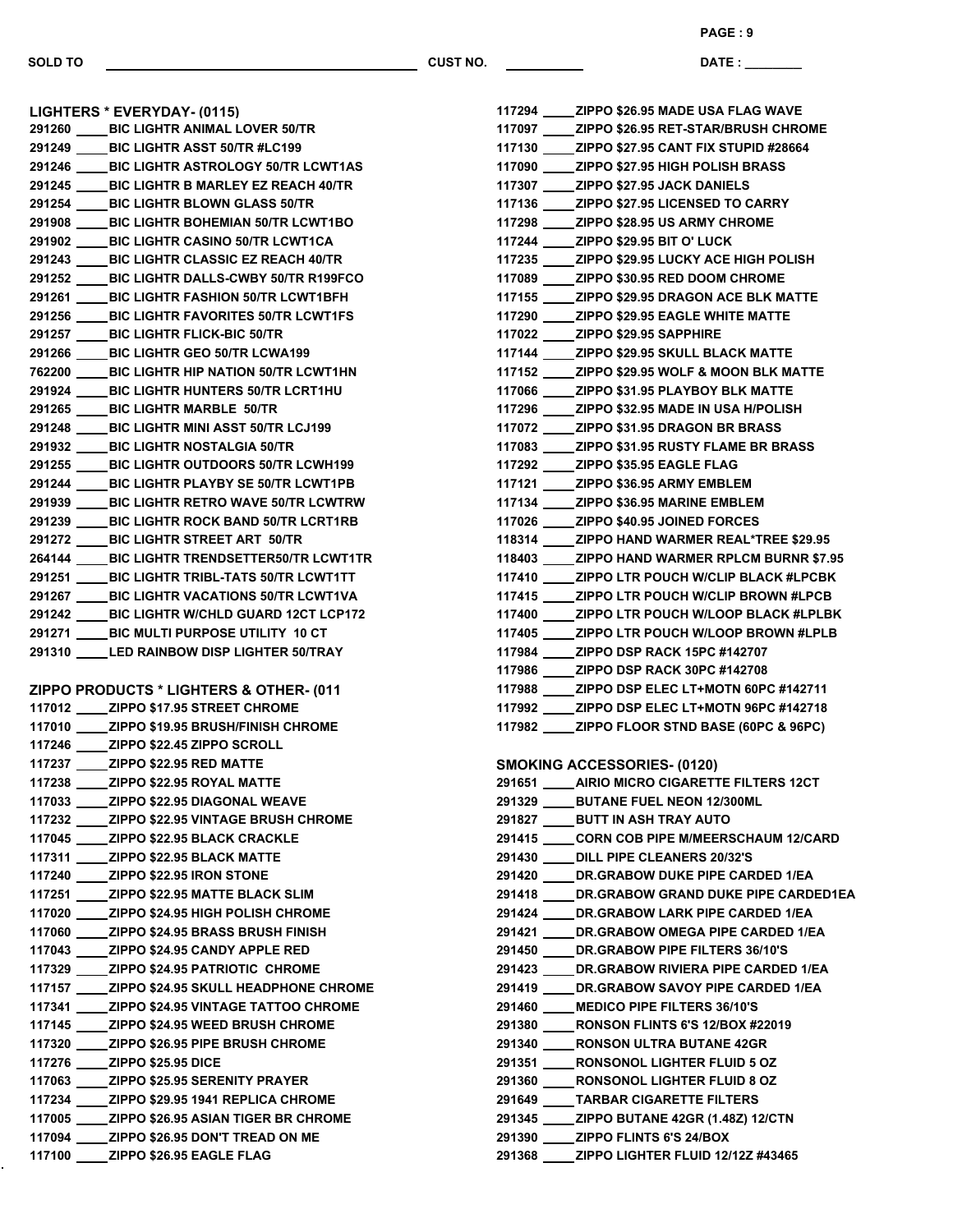**LIGHTERS \* EVERYDAY- (0115)**

**SOLD TO CUST NO.**

**DATE : \_\_\_\_\_\_\_\_\_\_\_\_\_\_\_ PAGE : 9**

 **BIC LIGHTR ANIMAL LOVER 50/TR BIC LIGHTR ASST 50/TR #LC199 BIC LIGHTR ASTROLOGY 50/TR LCWT1AS BIC LIGHTR B MARLEY EZ REACH 40/TR BIC LIGHTR BLOWN GLASS 50/TR BIC LIGHTR BOHEMIAN 50/TR LCWT1BO BIC LIGHTR CASINO 50/TR LCWT1CA BIC LIGHTR CLASSIC EZ REACH 40/TR BIC LIGHTR DALLS-CWBY 50/TR R199FCO BIC LIGHTR FASHION 50/TR LCWT1BFH BIC LIGHTR FAVORITES 50/TR LCWT1FS BIC LIGHTR FLICK-BIC 50/TR BIC LIGHTR GEO 50/TR LCWA199 BIC LIGHTR HIP NATION 50/TR LCWT1HN BIC LIGHTR HUNTERS 50/TR LCRT1HU BIC LIGHTR MARBLE 50/TR BIC LIGHTR MINI ASST 50/TR LCJ199 BIC LIGHTR NOSTALGIA 50/TR BIC LIGHTR OUTDOORS 50/TR LCWH199 BIC LIGHTR PLAYBY SE 50/TR LCWT1PB BIC LIGHTR RETRO WAVE 50/TR LCWTRW BIC LIGHTR ROCK BAND 50/TR LCRT1RB BIC LIGHTR STREET ART 50/TR BIC LIGHTR TRENDSETTER50/TR LCWT1TR BIC LIGHTR TRIBL-TATS 50/TR LCWT1TT BIC LIGHTR VACATIONS 50/TR LCWT1VA BIC LIGHTR W/CHLD GUARD 12CT LCP172 BIC MULTI PURPOSE UTILITY 10 CT LED RAINBOW DISP LIGHTER 50/TRAY ZIPPO PRODUCTS \* LIGHTERS & OTHER- (0117) ZIPPO \$17.95 STREET CHROME ZIPPO \$19.95 BRUSH/FINISH CHROME ZIPPO \$22.45 ZIPPO SCROLL ZIPPO \$22.95 RED MATTE ZIPPO \$22.95 ROYAL MATTE ZIPPO \$22.95 DIAGONAL WEAVE ZIPPO \$22.95 VINTAGE BRUSH CHROME ZIPPO \$22.95 BLACK CRACKLE ZIPPO \$22.95 BLACK MATTE ZIPPO \$22.95 IRON STONE ZIPPO \$22.95 MATTE BLACK SLIM ZIPPO \$24.95 HIGH POLISH CHROME ZIPPO \$24.95 BRASS BRUSH FINISH ZIPPO \$24.95 CANDY APPLE RED ZIPPO \$24.95 PATRIOTIC CHROME ZIPPO \$24.95 SKULL HEADPHONE CHROME ZIPPO \$24.95 VINTAGE TATTOO CHROME ZIPPO \$24.95 WEED BRUSH CHROME ZIPPO \$26.95 PIPE BRUSH CHROME ZIPPO \$25.95 DICE ZIPPO \$25.95 SERENITY PRAYER**

 **ZIPPO \$29.95 1941 REPLICA CHROME ZIPPO \$26.95 ASIAN TIGER BR CHROME ZIPPO \$26.95 DON'T TREAD ON ME ZIPPO \$26.95 EAGLE FLAG**

|  | 117294 ZIPPO \$26.95 MADE USA FLAG WAVE          |
|--|--------------------------------------------------|
|  | 117097 ZIPPO \$26.95 RET-STAR/BRUSH CHROME       |
|  | 117130 ZIPPO \$27.95 CANT FIX STUPID #28664      |
|  | 117090 ZIPPO \$27.95 HIGH POLISH BRASS           |
|  | 117307 ZIPPO \$27.95 JACK DANIELS                |
|  | 117136 _____ ZIPPO \$27.95 LICENSED TO CARRY     |
|  | 117298 _____ZIPPO \$28.95 US ARMY CHROME         |
|  | 117244 _____ZIPPO \$29.95 BIT O' LUCK            |
|  | 117235 _____ ZIPPO \$29.95 LUCKY ACE HIGH POLISH |
|  | 117089 _____ ZIPPO \$30.95 RED DOOM CHROME       |
|  | 117155 _____ ZIPPO \$29.95 DRAGON ACE BLK MATTE  |
|  | 117290 _____ ZIPPO \$29.95 EAGLE WHITE MATTE     |
|  | 117022 _____ ZIPPO \$29.95 SAPPHIRE              |
|  | 117144 _____ ZIPPO \$29.95 SKULL BLACK MATTE     |
|  | 117152 _____ ZIPPO \$29.95 WOLF & MOON BLK MATTE |
|  | 117066 _____ ZIPPO \$31.95 PLAYBOY BLK MATTE     |
|  | 117296 _____ ZIPPO \$32.95 MADE IN USA H/POLISH  |
|  | 117072 _____ ZIPPO \$31.95 DRAGON BR BRASS       |
|  | 117083 _____ ZIPPO \$31.95 RUSTY FLAME BR BRASS  |
|  | 117292 ______ ZIPPO \$35.95 EAGLE FLAG           |
|  | 117121 _____ ZIPPO \$36.95 ARMY EMBLEM           |
|  | 117134 _____ ZIPPO \$36.95 MARINE EMBLEM         |
|  | 117026 ZIPPO \$40.95 JOINED FORCES               |
|  | 118314 ZIPPO HAND WARMER REAL*TREE \$29.95       |
|  | 118403 ZIPPO HAND WARMER RPLCM BURNR \$7.95      |
|  | 117410 ZIPPO LTR POUCH W/CLIP BLACK #LPCBK       |
|  | 117415 ZIPPO LTR POUCH W/CLIP BROWN #LPCB        |
|  | 117400 ZIPPO LTR POUCH W/LOOP BLACK #LPLBK       |
|  | 117405 ZIPPO LTR POUCH W/LOOP BROWN #LPLB        |
|  | 117984 ZIPPO DSP RACK 15PC #142707               |
|  | 117986 ZIPPO DSP RACK 30PC #142708               |
|  | 117988 ZIPPO DSP ELEC LT+MOTN 60PC #142711       |
|  | 117992 ZIPPO DSP ELEC LT+MOTN 96PC #142718       |
|  | 117982 ZIPPO FLOOR STND BASE (60PC & 96PC)       |
|  |                                                  |
|  | <b>SMOKING ACCESSORIES- (0120)</b>               |
|  | 291651 AIRIO MICRO CIGARETTE FILTERS 12CT        |
|  | 291329 _____ BUTANE FUEL NEON 12/300ML           |
|  | 291827 _____ BUTT IN ASH TRAY AUTO               |
|  | 291415 _____ CORN COB PIPE M/MEERSCHAUM 12/CARD  |
|  | 291430 ____ DILL PIPE CLEANERS 20/32'S           |
|  | 291420 _____ DR.GRABOW DUKE PIPE CARDED 1/EA     |
|  | 291418 _____ DR.GRABOW GRAND DUKE PIPE CARDED1EA |
|  | 291424 _____ DR.GRABOW LARK PIPE CARDED 1/EA     |
|  | 291421 _____ DR.GRABOW OMEGA PIPE CARDED 1/EA    |
|  | 291450 _____ DR.GRABOW PIPE FILTERS 36/10'S      |
|  | 291423 _____ DR.GRABOW RIVIERA PIPE CARDED 1/EA  |
|  | 291419 _____ DR.GRABOW SAVOY PIPE CARDED 1/EA    |
|  | 291460 ____ MEDICO PIPE FILTERS 36/10'S          |
|  | 291380 _____ RONSON FLINTS 6'S 12/BOX #22019     |
|  | 291340 _____ RONSON ULTRA BUTANE 42GR            |
|  | 291351 _____ RONSONOL LIGHTER FLUID 5 OZ         |
|  | 291360 _____ RONSONOL LIGHTER FLUID 8 OZ         |
|  | 291649 _____ TARBAR CIGARETTE FILTERS            |
|  | 291345 _____ ZIPPO BUTANE 42GR (1.48Z) 12/CTN    |
|  | 291390 _____ ZIPPO FLINTS 6'S 24/BOX             |
|  | 291368 _____ ZIPPO LIGHTER FLUID 12/12Z #43465   |
|  |                                                  |